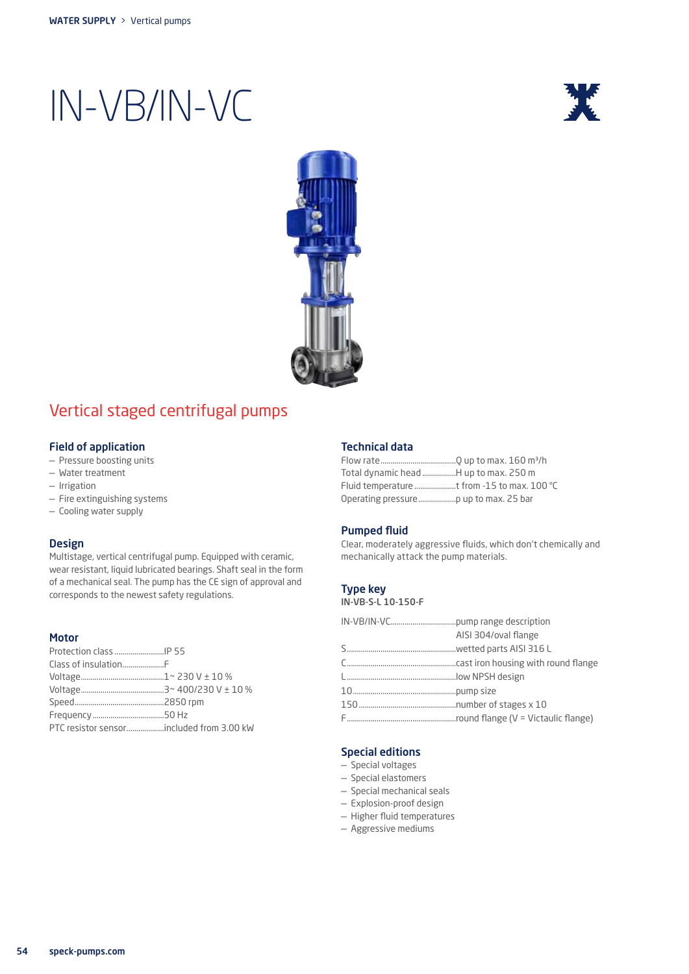



### Vertical staged centrifugal pumps

### Field of application

- Pressure boosting units
- Water treatment
- Irrigation
- Fire extinguishing systems
- Cooling water supply

#### Design

Multistage, vertical centrifugal pump. Equipped with ceramic, wear resistant, liquid lubricated bearings. Shaft seal in the form of a mechanical seal. The pump has the CE sign of approval and corresponds to the newest safety regulations.

#### Motor

#### Technical data

| Total dynamic head H up to max. 250 m       |  |
|---------------------------------------------|--|
| Fluid temperature t from -15 to max. 100 °C |  |
|                                             |  |

#### Pumped fluid

Clear, moderately aggressive fluids, which don't chemically and mechanically attack the pump materials.

### Type key

IN-VB-S-L 10-150-F

|  | AISI 304/oval flange |  |
|--|----------------------|--|
|  |                      |  |
|  |                      |  |
|  |                      |  |
|  |                      |  |
|  |                      |  |
|  |                      |  |
|  |                      |  |

#### Special editions

- Special voltages
- Special elastomers
- Special mechanical seals
- Explosion-proof design
- Higher fluid temperatures
- Aggressive mediums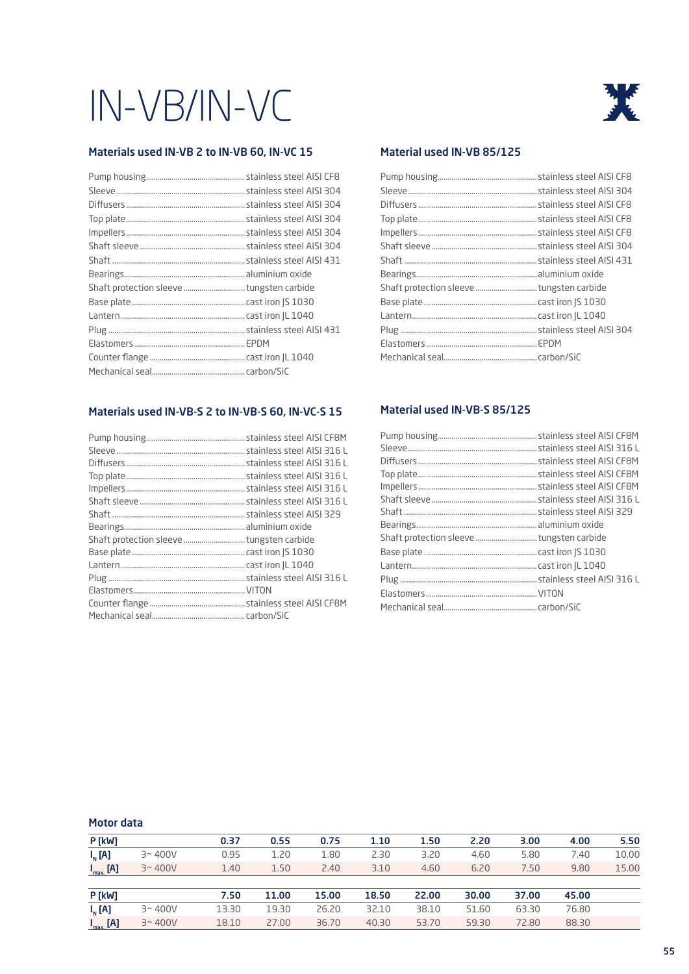### Materials used IN-VB 2 to IN-VB 60, IN-VC 15

### Materials used IN-VB-S 2 to IN-VB-S 60, IN-VC-S 15

### 涨

### Material used IN-VB 85/125

### Material used IN-VB-S 85/125

#### Motor data

| P[kW]         |            | 0.37  | 0.55  | 0.75  | 1.10  | 1.50  | 2.20  | 3.00  | 4.00  | 5.50  |
|---------------|------------|-------|-------|-------|-------|-------|-------|-------|-------|-------|
| $I_{N}$ [A]   | $3 - 400V$ | 0.95  | 1.20  | 1.80  | 2.30  | 3.20  | 4.60  | 5.80  | 7.40  | 10.00 |
| $I_{max}$ [A] | $3 - 400V$ | 1.40  | 1.50  | 2.40  | 3.10  | 4.60  | 6.20  | 7.50  | 9.80  | 15.00 |
|               |            |       |       |       |       |       |       |       |       |       |
| <b>P</b> [kW] |            | 7.50  | 11.00 | 15.00 | 18.50 | 22.00 | 30.00 | 37.00 | 45.00 |       |
| $I_{N}$ [A]   | $3 - 400V$ | 13.30 | 19.30 | 26.20 | 32.10 | 38.10 | 51.60 | 63.30 | 76.80 |       |
| $I_{max}$ [A] | $3 - 400V$ | 18.10 | 27.00 | 36.70 | 40.30 | 53.70 | 59.30 | 72.80 | 88,30 |       |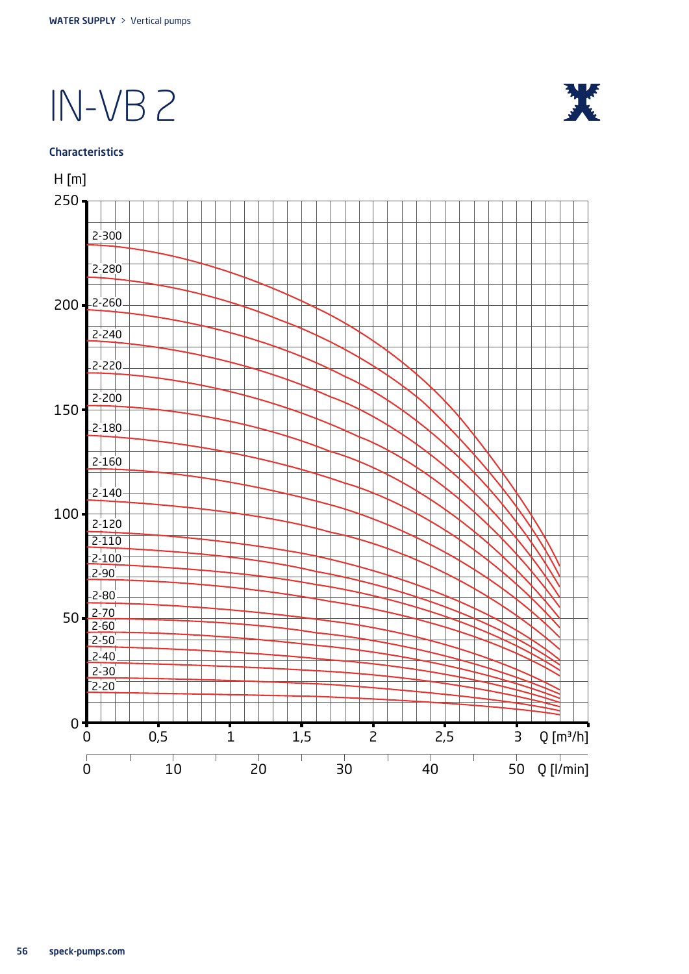

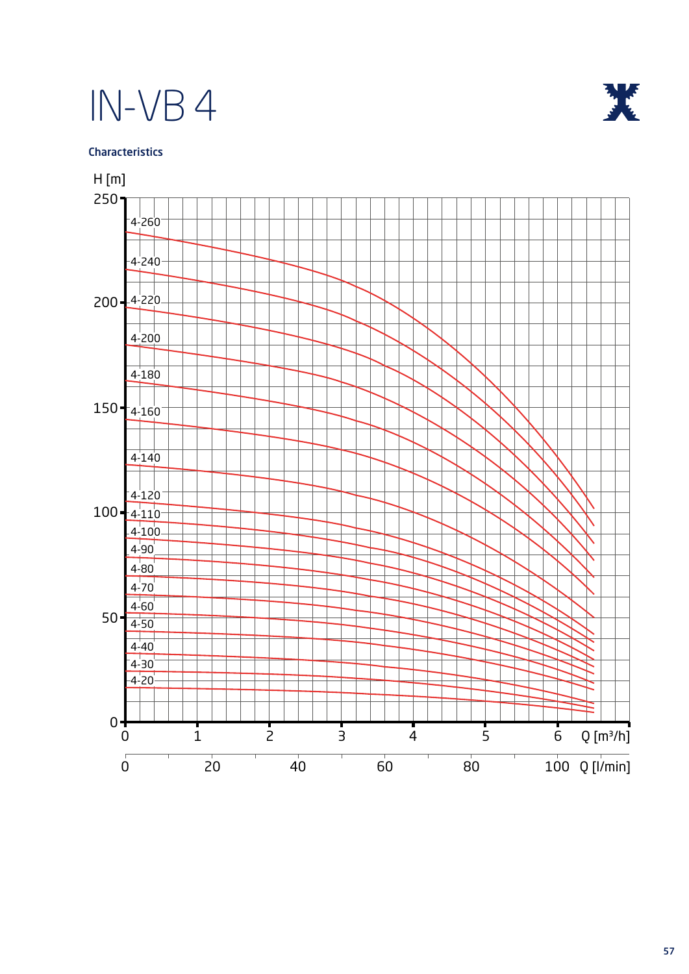

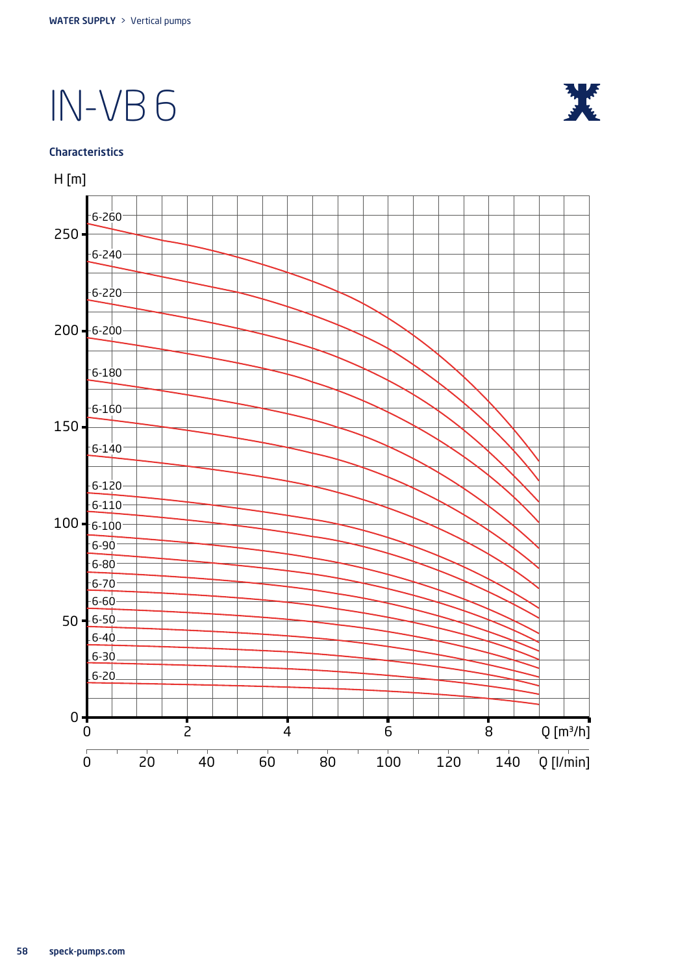

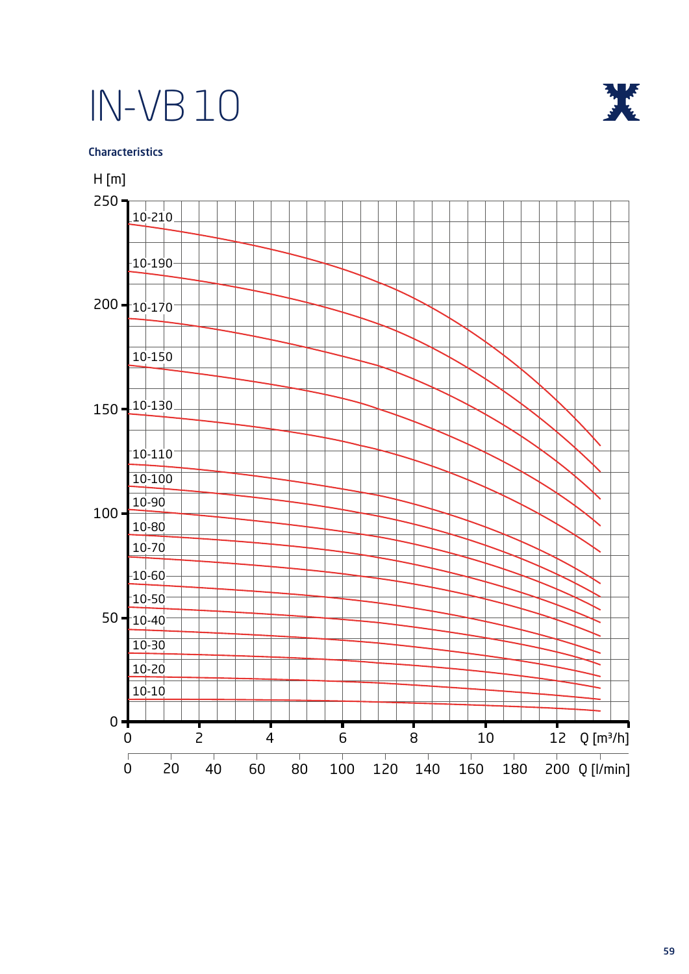



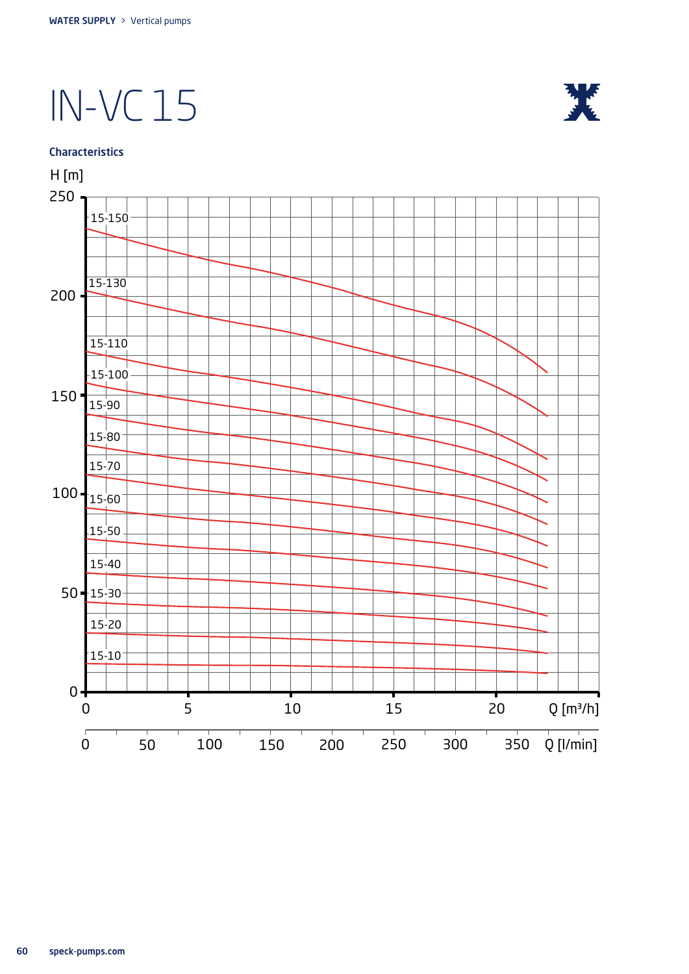## IN-VC 15





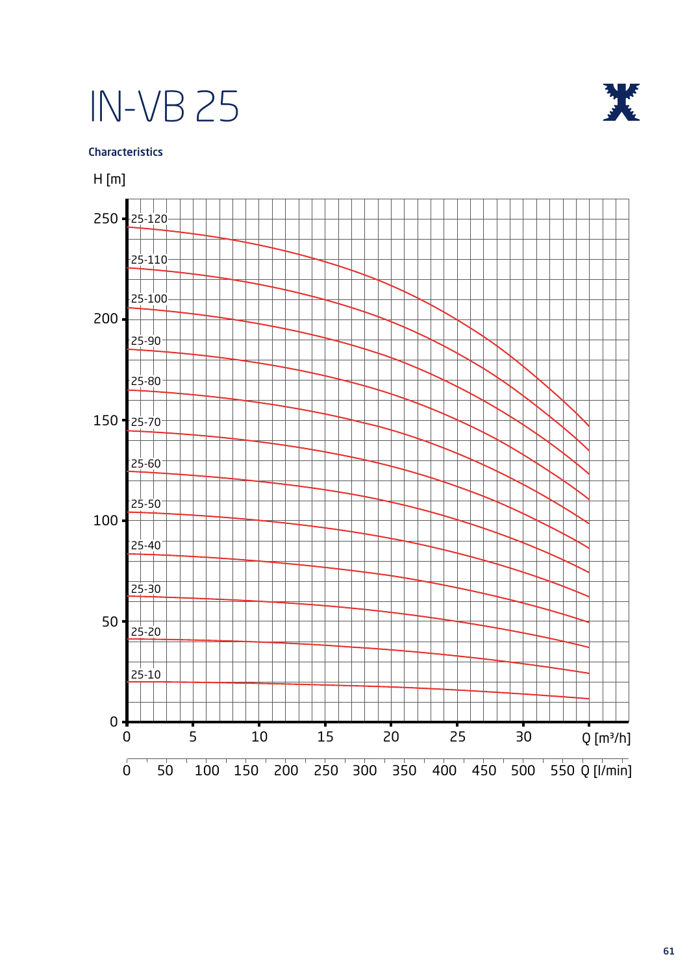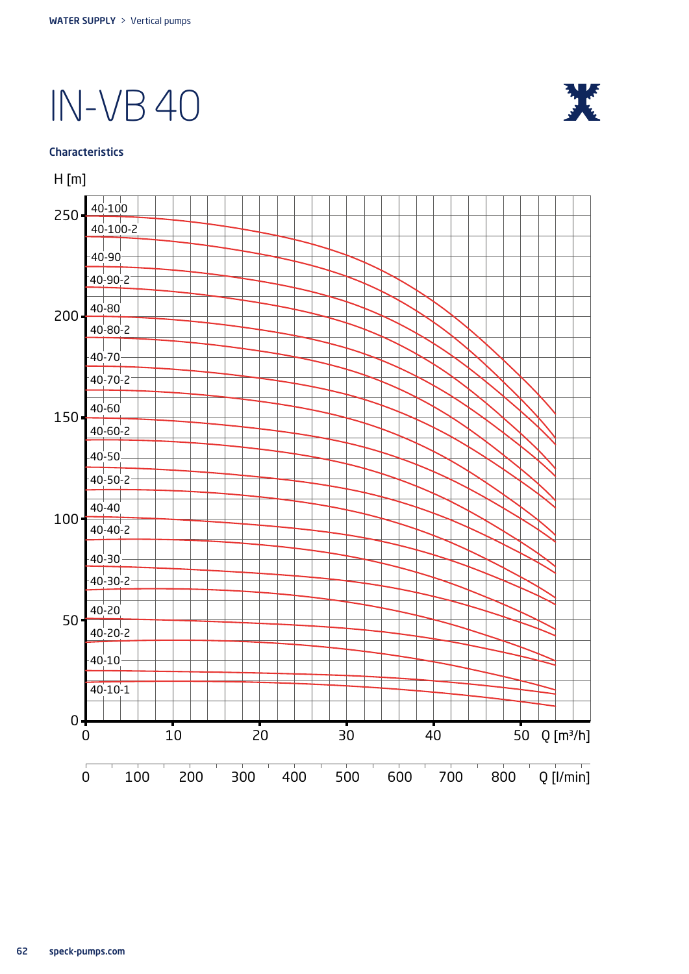

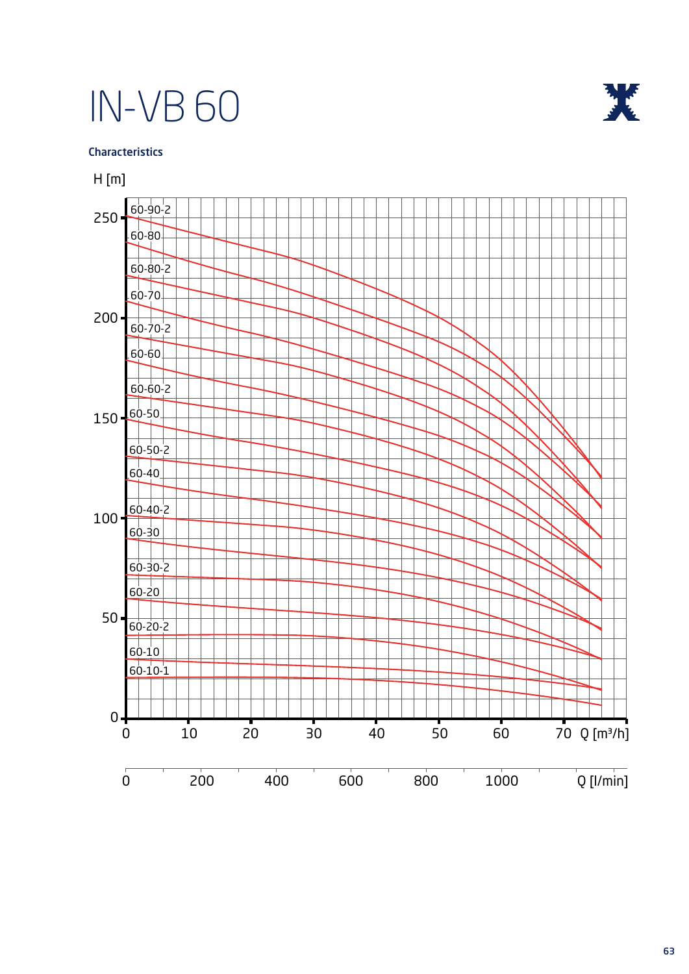

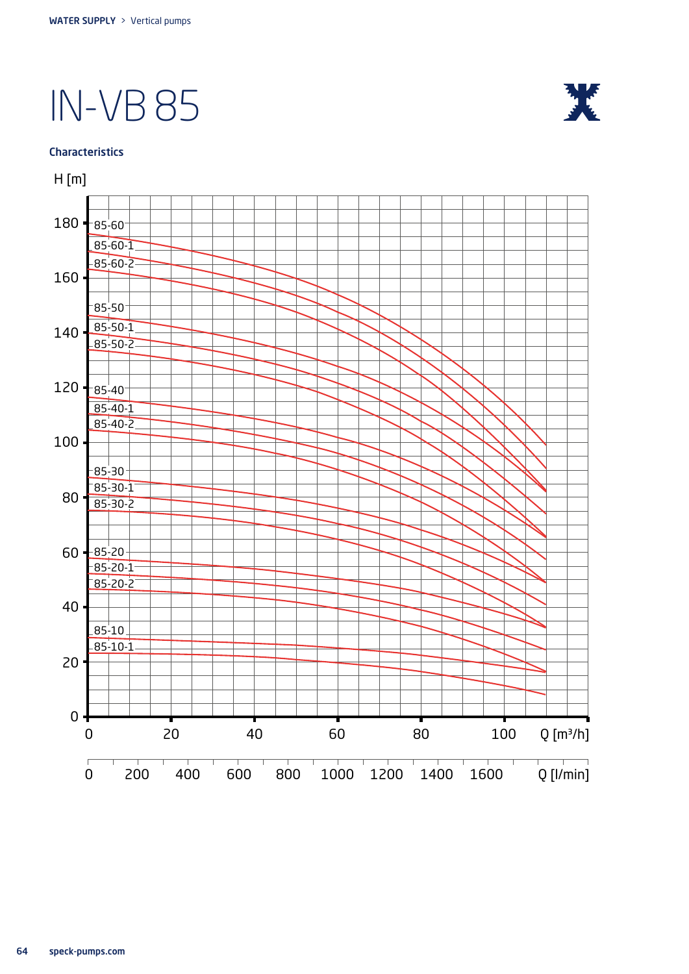

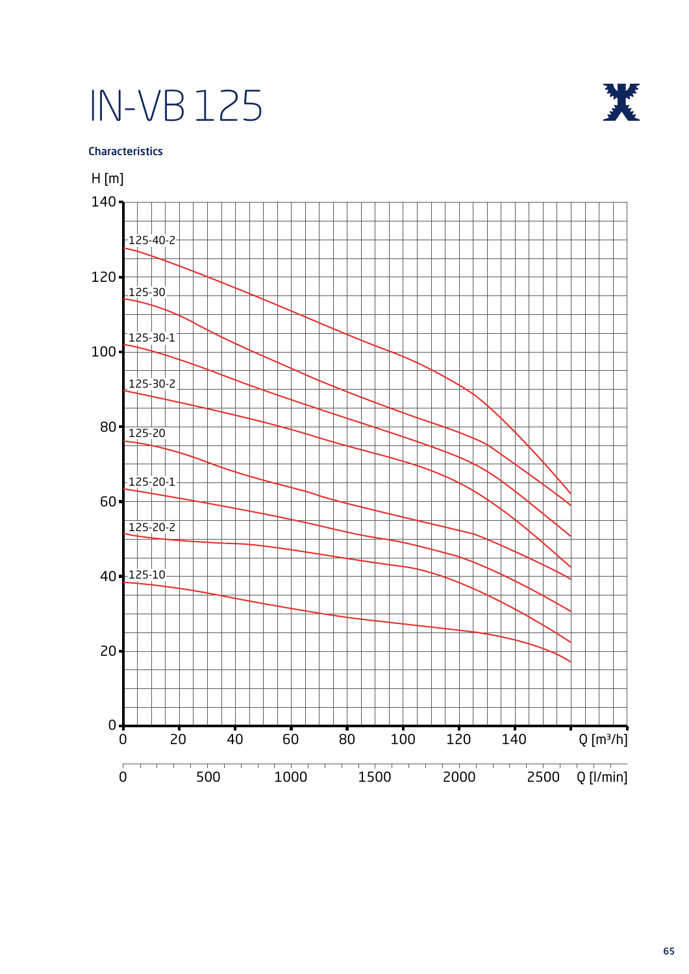

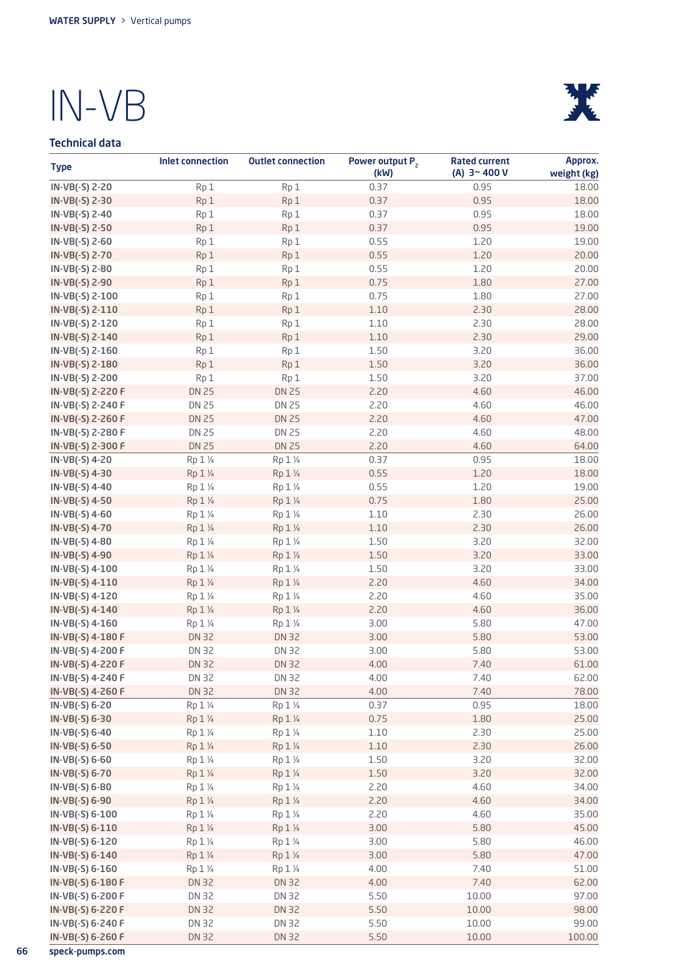### Technical data



| <b>Type</b>                        | <b>Inlet connection</b> | <b>Outlet connection</b> | Power output P <sub>2</sub><br>(kW) | <b>Rated current</b><br>(A) $3 - 400V$ | Approx.<br>weight (kg) |
|------------------------------------|-------------------------|--------------------------|-------------------------------------|----------------------------------------|------------------------|
| IN-VB(-S) 2-20                     | Rp 1                    | Rp 1                     | 0.37                                | 0.95                                   | 18.00                  |
| IN-VB(-S) 2-30                     | Rp1                     | Rp 1                     | 0.37                                | 0.95                                   | 18.00                  |
| IN-VB(-S) 2-40                     | Rp1                     | Rp 1                     | 0.37                                | 0.95                                   | 18.00                  |
| IN-VB(-S) 2-50                     | Rp <sub>1</sub>         | Rp1                      | 0.37                                | 0.95                                   | 19.00                  |
| IN-VB(-S) 2-60                     | Rp1                     | Rp 1                     | 0.55                                | 1.20                                   | 19.00                  |
| IN-VB(-S) 2-70                     | Rp1                     | Rp1                      | 0.55                                | 1.20                                   | 20.00                  |
| IN-VB(-S) 2-80                     | Rp1                     | Rp <sub>1</sub>          | 0.55                                | 1.20                                   | 20.00                  |
| IN-VB(-S) 2-90                     | Rp1                     | Rp 1                     | 0.75                                | 1.80                                   | 27.00                  |
| IN-VB(-S) 2-100                    | Rp 1                    | Rp1                      | 0.75                                | 1.80                                   | 27.00                  |
| IN-VB(-S) 2-110                    | Rp1                     | Rp1                      | 1.10                                | 2.30                                   | 28.00                  |
| IN-VB(-S) 2-120                    | Rp1                     | Rp1                      | 1.10                                | 2.30                                   | 28.00                  |
| IN-VB(-S) 2-140                    | Rp1                     | Rp1                      | 1.10                                | 2.30                                   | 29.00                  |
| IN-VB(-S) 2-160                    | Rp1                     | Rp <sub>1</sub>          | 1.50                                | 3.20                                   | 36.00                  |
| IN-VB(-S) 2-180                    | Rp1                     | Rp1                      | 1.50                                | 3.20                                   | 36.00                  |
| IN-VB(-S) 2-200                    | Rp1                     | Rp <sub>1</sub>          | 1.50                                | 3.20                                   | 37.00                  |
| IN-VB(-S) 2-220 F                  | <b>DN 25</b>            | <b>DN 25</b>             | 2.20                                | 4.60                                   | 46.00                  |
| IN-VB(-S) 2-240 F                  | <b>DN 25</b>            | <b>DN 25</b>             | 2.20                                | 4.60                                   | 46.00                  |
| IN-VB(-S) 2-260 F                  | <b>DN 25</b>            | <b>DN 25</b>             | 2.20                                | 4.60                                   | 47.00                  |
| IN-VB(-S) 2-280 F                  | <b>DN 25</b>            | <b>DN 25</b>             | 2.20                                | 4.60                                   | 48.00                  |
| IN-VB(-S) 2-300 F                  | <b>DN 25</b>            | <b>DN 25</b>             | 2.20                                | 4.60                                   | 64.00                  |
| IN-VB(-S) 4-20                     | Rp 1 1/4                | Rp 1 1/4                 | 0.37                                | 0.95                                   | 18.00                  |
| IN-VB(-S) 4-30                     | Rp 1 1/4                | Rp 1 1/4                 | 0.55                                | 1.20                                   | 18.00                  |
| IN-VB(-S) 4-40                     | Rp 1 1/4                | Rp 1 1/4                 | 0.55                                | 1.20                                   | 19.00                  |
| IN-VB(-S) 4-50                     | Rp 1 1/4                | Rp 1 1/4                 | 0.75                                | 1.80                                   | 25.00                  |
| IN-VB(-S) 4-60                     | Rp 1 1/4                | Rp 1 1/4                 | 1.10                                | 2.30                                   | 26.00                  |
| IN-VB(-S) 4-70                     | Rp 1 1/4                | Rp 1 1/4                 | 1.10                                | 2.30                                   | 26.00                  |
| IN-VB(-S) 4-80                     | Rp 1 1/4                | Rp 1 1/4                 | 1.50                                | 3.20                                   | 32.00                  |
| IN-VB(-S) 4-90                     | Rp 1 1/4<br>Rp 1 1/4    | Rp 1 1/4                 | 1.50<br>1.50                        | 3.20<br>3.20                           | 33.00<br>33.00         |
| IN-VB(-S) 4-100<br>IN-VB(-S) 4-110 | Rp 1 1/4                | Rp 1 1/4<br>Rp 1 1/4     | 2.20                                | 4.60                                   | 34.00                  |
| IN-VB(-S) 4-120                    | Rp 1 1/4                | Rp 1 1/4                 | 2.20                                | 4.60                                   | 35.00                  |
| IN-VB(-S) 4-140                    | Rp 1 1/4                | Rp 1 1/4                 | 2.20                                | 4.60                                   | 36.00                  |
| IN-VB(-S) 4-160                    | Rp 1 1/4                | Rp 1 1/4                 | 3.00                                | 5.80                                   | 47.00                  |
| IN-VB(-S) 4-180 F                  | <b>DN 32</b>            | <b>DN 32</b>             | 3.00                                | 5.80                                   | 53.00                  |
| IN-VB(-S) 4-200 F                  | <b>DN 32</b>            | <b>DN 32</b>             | 3.00                                | 5.80                                   | 53.00                  |
| IN-VB(-S) 4-220 F                  | <b>DN 32</b>            | <b>DN 32</b>             | 4.00                                | 7.40                                   | 61.00                  |
| IN-VB(-S) 4-240 F                  | DN 32                   | <b>DN 32</b>             | 4.00                                | 7.40                                   | 62.00                  |
| IN-VB(-S) 4-260 F                  | <b>DN 32</b>            | <b>DN 32</b>             | 4.00                                | 7.40                                   | 78.00                  |
| IN-VB(-S) 6-20                     | Rp 1 1/4                | Rp 1 1/4                 | 0.37                                | 0.95                                   | 18.00                  |
| IN-VB(-S) 6-30                     | Rp 1 1/4                | Rp 1 1/4                 | 0.75                                | 1.80                                   | 25.00                  |
| IN-VB(-S) 6-40                     | Rp 1 1/4                | Rp 1 1/4                 | 1.10                                | 2.30                                   | 25.00                  |
| IN-VB(-S) 6-50                     | Rp 1 1/4                | Rp 1 1/4                 | $1.10$                              | 2.30                                   | 26.00                  |
| IN-VB(-S) 6-60                     | Rp 1 1/4                | Rp 1 1/4                 | 1.50                                | 3.20                                   | 32.00                  |
| IN-VB(-S) 6-70                     | Rp 1 1/4                | Rp 1 1/4                 | $1.50\,$                            | 3.20                                   | 32.00                  |
| IN-VB(-S) 6-80                     | Rp 1 1/4                | Rp 1 1/4                 | 2.20                                | 4.60                                   | 34.00                  |
| IN-VB(-S) 6-90                     | Rp 1 1/4                | Rp 1 1/4                 | 2.20                                | 4.60                                   | 34.00                  |
| IN-VB(-S) 6-100                    | Rp 1 1/4                | Rp 1 1/4                 | 2.20                                | 4.60                                   | 35.00                  |
| IN-VB(-S) 6-110                    | Rp 1 1/4                | Rp 1 1/4                 | 3.00                                | 5.80                                   | 45.00                  |
| IN-VB(-S) 6-120                    | Rp 1 1/4                | Rp 1 1/4                 | 3.00                                | 5.80                                   | 46.00                  |
| IN-VB(-S) 6-140                    | Rp 1 1/4                | Rp 1 1/4                 | 3.00                                | 5.80                                   | 47.00                  |
| IN-VB(-S) 6-160                    | Rp 1 1/4                | Rp 1 1/4                 | 4.00                                | 7.40                                   | 51.00                  |
| IN-VB(-S) 6-180 F                  | DN 32                   | <b>DN 32</b>             | 4.00                                | 7.40                                   | 62.00                  |
| IN-VB(-S) 6-200 F                  | DN 32                   | DN 32                    | 5.50                                | 10.00                                  | 97.00                  |
| IN-VB(-S) 6-220 F                  | DN 32                   | <b>DN 32</b>             | 5.50                                | 10.00                                  | 98.00                  |
| IN-VB(-S) 6-240 F                  | DN 32                   | DN 32                    | 5.50                                | 10.00                                  | 99.00                  |
| IN-VB(-S) 6-260 F                  | DN 32                   | <b>DN 32</b>             | 5.50                                | 10.00                                  | 100.00                 |

66 speck-pumps.com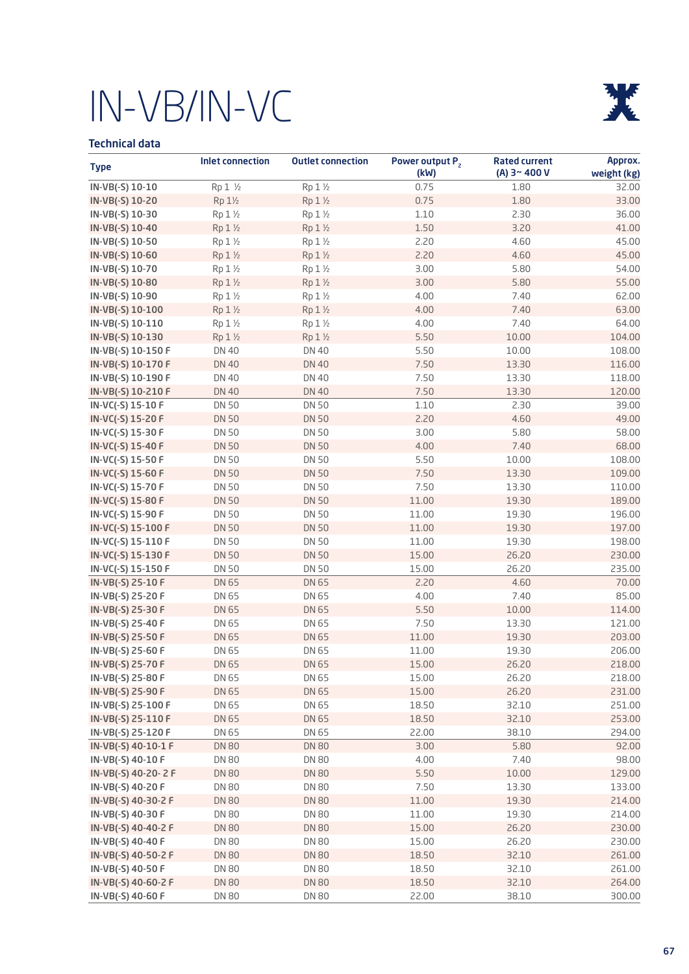

### Technical data

| <b>Type</b>         | <b>Inlet connection</b> | <b>Outlet connection</b> | Power output P <sub>2</sub><br>(kW) | <b>Rated current</b><br>(A) $3 - 400V$ | Approx.<br>weight (kg) |
|---------------------|-------------------------|--------------------------|-------------------------------------|----------------------------------------|------------------------|
| IN-VB(-S) 10-10     | Rp 1 1/2                | Rp 1 1/2                 | 0.75                                | 1.80                                   | 32.00                  |
| IN-VB(-S) 10-20     | Rp 1½                   | Rp 1 1/2                 | 0.75                                | 1.80                                   | 33.00                  |
| IN-VB(-S) 10-30     | Rp 1 1/2                | Rp 1 1/2                 | 1.10                                | 2.30                                   | 36.00                  |
| IN-VB(-S) 10-40     | Rp 1 1/2                | Rp 1 1/2                 | 1.50                                | 3.20                                   | 41.00                  |
| IN-VB(-S) 10-50     | Rp 1 1/2                | Rp 1 1/2                 | 2.20                                | 4.60                                   | 45.00                  |
| IN-VB(-S) 10-60     | Rp 1 1/2                | Rp 1 1/2                 | 2.20                                | 4.60                                   | 45.00                  |
| IN-VB(-S) 10-70     | Rp 1 1/2                | Rp 1 1/2                 | 3.00                                | 5.80                                   | 54.00                  |
| IN-VB(-S) 10-80     | Rp 1 1/2                | Rp 1 1/2                 | 3.00                                | 5.80                                   | 55.00                  |
| IN-VB(-S) 10-90     | Rp 1 1/2                | Rp 1 1/2                 | 4.00                                | 7.40                                   | 62.00                  |
| IN-VB(-S) 10-100    | Rp 1 1/2                | Rp 1 1/2                 | 4.00                                | 7.40                                   | 63.00                  |
| IN-VB(-S) 10-110    | Rp 1 1/2                | Rp 1 1/2                 | 4.00                                | 7.40                                   | 64.00                  |
| IN-VB(-S) 10-130    | Rp 1 1/2                | Rp 1 1/2                 | 5.50                                | 10.00                                  | 104.00                 |
| IN-VB(-S) 10-150 F  | <b>DN 40</b>            | <b>DN 40</b>             | 5.50                                | 10.00                                  | 108.00                 |
| IN-VB(-S) 10-170 F  | <b>DN 40</b>            | <b>DN 40</b>             | 7.50                                | 13.30                                  | 116.00                 |
| IN-VB(-S) 10-190 F  | <b>DN 40</b>            | <b>DN 40</b>             | 7.50                                | 13.30                                  | 118.00                 |
| IN-VB(-S) 10-210 F  | <b>DN 40</b>            | <b>DN 40</b>             | 7.50                                | 13.30                                  | 120.00                 |
| IN-VC(-S) 15-10 F   | <b>DN 50</b>            | <b>DN 50</b>             | 1.10                                | 2.30                                   | 39.00                  |
| IN-VC(-S) 15-20 F   | <b>DN 50</b>            | <b>DN 50</b>             | 2.20                                | 4.60                                   | 49.00                  |
| IN-VC(-S) 15-30 F   | <b>DN 50</b>            | <b>DN 50</b>             | 3.00                                | 5.80                                   | 58.00                  |
| IN-VC(-S) 15-40 F   | <b>DN 50</b>            | <b>DN 50</b>             | 4.00                                | 7.40                                   | 68.00                  |
| IN-VC(-S) 15-50 F   | <b>DN 50</b>            | <b>DN 50</b>             | 5.50                                | 10.00                                  | 108.00                 |
| IN-VC(-S) 15-60 F   | <b>DN 50</b>            | <b>DN 50</b>             | 7.50                                | 13.30                                  | 109.00                 |
| IN-VC(-S) 15-70 F   | <b>DN 50</b>            | <b>DN 50</b>             | 7.50                                | 13.30                                  | 110.00                 |
| IN-VC(-S) 15-80 F   | <b>DN 50</b>            | <b>DN 50</b>             | 11.00                               | 19.30                                  | 189.00                 |
| IN-VC(-S) 15-90 F   | <b>DN 50</b>            | <b>DN 50</b>             | 11.00                               | 19.30                                  | 196.00                 |
| IN-VC(-S) 15-100 F  | <b>DN 50</b>            | <b>DN 50</b>             | 11.00                               | 19.30                                  | 197.00                 |
| IN-VC(-S) 15-110 F  | <b>DN 50</b>            | <b>DN 50</b>             | 11.00                               | 19.30                                  | 198.00                 |
| IN-VC(-S) 15-130 F  | <b>DN 50</b>            | <b>DN 50</b>             | 15.00                               | 26.20                                  | 230.00                 |
| IN-VC(-S) 15-150 F  | <b>DN 50</b>            | <b>DN 50</b>             | 15.00                               | 26.20                                  | 235.00                 |
| IN-VB(-S) 25-10 F   | DN 65                   | DN 65                    | 2.20                                | 4.60                                   | 70.00                  |
| IN-VB(-S) 25-20 F   | DN 65                   | DN 65                    | 4.00                                | 7.40                                   | 85.00                  |
| IN-VB(-S) 25-30 F   | DN 65                   | DN 65                    | 5.50                                | 10.00                                  | 114.00                 |
| IN-VB(-S) 25-40 F   | DN 65                   | DN 65                    | 7.50                                | 13.30                                  | 121.00                 |
| IN-VB(-S) 25-50 F   | DN 65                   | DN 65                    | 11.00                               | 19.30                                  | 203.00                 |
| IN-VB(-S) 25-60 F   | DN 65                   | DN 65                    | 11.00                               | 19.30                                  | 206.00                 |
| IN-VB(-S) 25-70 F   | DN 65                   | DN 65                    | 15.00                               | 26.20                                  | 218.00                 |
| IN-VB(-S) 25-80 F   | DN 65                   | DN 65                    | 15.00                               | 26.20                                  | 218.00                 |
| IN-VB(-S) 25-90 F   | DN 65                   | DN 65                    | 15.00                               | 26.20                                  | 231.00                 |
| IN-VB(-S) 25-100 F  | DN 65                   | DN 65                    | 18.50                               | 32.10                                  | 251.00                 |
| IN-VB(-S) 25-110 F  | DN 65                   | DN 65                    | 18.50                               | 32.10                                  | 253.00                 |
| IN-VB(-S) 25-120 F  | DN 65                   | DN 65                    | 22.00                               | 38.10                                  | 294.00                 |
| IN-VB(-S) 40-10-1 F | <b>DN 80</b>            | <b>DN 80</b>             | 3.00                                | 5.80                                   | 92.00                  |
| IN-VB(-S) 40-10 F   | <b>DN 80</b>            | DN 80                    | 4.00                                | 7.40                                   | 98.00                  |
| IN-VB(-S) 40-20-2 F | <b>DN 80</b>            | <b>DN 80</b>             | 5.50                                | 10.00                                  | 129.00                 |
| IN-VB(-S) 40-20 F   | <b>DN 80</b>            | DN 80                    | 7.50                                | 13.30                                  | 133.00                 |
| IN-VB(-S) 40-30-2 F | <b>DN 80</b>            | <b>DN 80</b>             | 11.00                               | 19.30                                  | 214.00                 |
| IN-VB(-S) 40-30 F   | <b>DN 80</b>            | <b>DN 80</b>             | 11.00                               | 19.30                                  | 214.00                 |
| IN-VB(-S) 40-40-2 F | <b>DN 80</b>            | <b>DN 80</b>             | 15.00                               | 26.20                                  | 230.00                 |
| IN-VB(-S) 40-40 F   | <b>DN 80</b>            | <b>DN 80</b>             | 15.00                               | 26.20                                  | 230.00                 |
| IN-VB(-S) 40-50-2 F | <b>DN 80</b>            | <b>DN 80</b>             | 18.50                               | 32.10                                  | 261.00                 |
| IN-VB(-S) 40-50 F   | <b>DN 80</b>            | <b>DN 80</b>             | 18.50                               | 32.10                                  | 261.00                 |
| IN-VB(-S) 40-60-2 F | <b>DN 80</b>            | <b>DN 80</b>             | 18.50                               | 32.10                                  | 264.00                 |
| IN-VB(-S) 40-60 F   | <b>DN 80</b>            | <b>DN 80</b>             | 22.00                               | 38.10                                  | 300.00                 |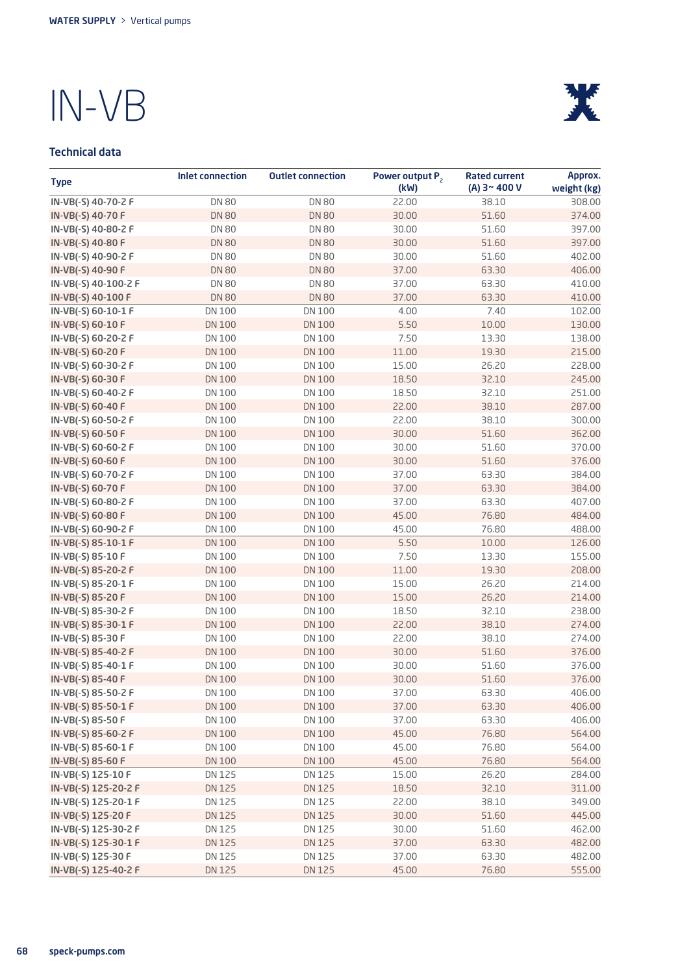

### Technical data

| <b>Type</b>          | Inlet connection | <b>Outlet connection</b> | Power output P <sub>2</sub><br>(kW) | <b>Rated current</b><br>$(A)$ 3~400 V | Approx.<br>weight (kg) |
|----------------------|------------------|--------------------------|-------------------------------------|---------------------------------------|------------------------|
| IN-VB(-S) 40-70-2 F  | <b>DN 80</b>     | <b>DN 80</b>             | 22.00                               | 38.10                                 | 308.00                 |
| IN-VB(-S) 40-70 F    | <b>DN 80</b>     | <b>DN 80</b>             | 30.00                               | 51.60                                 | 374.00                 |
| IN-VB(-S) 40-80-2 F  | <b>DN 80</b>     | <b>DN 80</b>             | 30.00                               | 51.60                                 | 397.00                 |
| IN-VB(-S) 40-80 F    | <b>DN 80</b>     | <b>DN 80</b>             | 30.00                               | 51.60                                 | 397.00                 |
| IN-VB(-S) 40-90-2 F  | <b>DN 80</b>     | <b>DN 80</b>             | 30.00                               | 51.60                                 | 402.00                 |
| IN-VB(-S) 40-90 F    | <b>DN 80</b>     | <b>DN 80</b>             | 37.00                               | 63.30                                 | 406.00                 |
| IN-VB(-S) 40-100-2 F | <b>DN 80</b>     | <b>DN 80</b>             | 37.00                               | 63.30                                 | 410.00                 |
| IN-VB(-S) 40-100 F   | <b>DN 80</b>     | <b>DN 80</b>             | 37.00                               | 63.30                                 | 410.00                 |
| IN-VB(-S) 60-10-1 F  | <b>DN 100</b>    | DN 100                   | 4.00                                | 7.40                                  | 102.00                 |
| IN-VB(-S) 60-10 F    | <b>DN 100</b>    | <b>DN100</b>             | 5.50                                | 10.00                                 | 130.00                 |
| IN-VB(-S) 60-20-2 F  | DN 100           | DN 100                   | 7.50                                | 13.30                                 | 138.00                 |
| IN-VB(-S) 60-20 F    | <b>DN 100</b>    | <b>DN100</b>             | 11.00                               | 19.30                                 | 215.00                 |
| IN-VB(-S) 60-30-2 F  | DN 100           | DN 100                   | 15.00                               | 26.20                                 | 228.00                 |
| IN-VB(-S) 60-30 F    | <b>DN 100</b>    | <b>DN100</b>             | 18.50                               | 32.10                                 | 245.00                 |
| IN-VB(-S) 60-40-2 F  | DN 100           | DN 100                   | 18.50                               | 32.10                                 | 251.00                 |
| IN-VB(-S) 60-40 F    | <b>DN 100</b>    | <b>DN100</b>             | 22.00                               | 38.10                                 | 287.00                 |
| IN-VB(-S) 60-50-2 F  | DN 100           | DN 100                   | 22.00                               | 38.10                                 | 300.00                 |
| IN-VB(-S) 60-50 F    | <b>DN 100</b>    | <b>DN100</b>             | 30.00                               | 51.60                                 | 362.00                 |
| IN-VB(-S) 60-60-2 F  | <b>DN 100</b>    | DN 100                   | 30.00                               | 51.60                                 | 370.00                 |
| IN-VB(-S) 60-60 F    | <b>DN 100</b>    | <b>DN 100</b>            | 30.00                               | 51.60                                 | 376.00                 |
| IN-VB(-S) 60-70-2 F  | DN 100           | DN 100                   | 37.00                               | 63.30                                 | 384.00                 |
| IN-VB(-S) 60-70 F    | <b>DN 100</b>    | <b>DN 100</b>            | 37.00                               | 63.30                                 | 384.00                 |
| IN-VB(-S) 60-80-2 F  | DN 100           | DN 100                   | 37.00                               | 63.30                                 | 407.00                 |
| IN-VB(-S) 60-80 F    | <b>DN 100</b>    | <b>DN 100</b>            | 45.00                               | 76.80                                 | 484.00                 |
| IN-VB(-S) 60-90-2 F  | DN 100           | DN 100                   | 45.00                               | 76.80                                 | 488.00                 |
| IN-VB(-S) 85-10-1 F  | <b>DN 100</b>    | <b>DN 100</b>            | 5.50                                | 10.00                                 | 126.00                 |
| IN-VB(-S) 85-10 F    | DN 100           | DN 100                   | 7.50                                | 13.30                                 | 155.00                 |
| IN-VB(-S) 85-20-2 F  | <b>DN 100</b>    | <b>DN 100</b>            | 11.00                               | 19.30                                 | 208.00                 |
| IN-VB(-S) 85-20-1 F  | DN 100           | DN 100                   | 15.00                               | 26.20                                 | 214.00                 |
| IN-VB(-S) 85-20 F    | <b>DN 100</b>    | <b>DN 100</b>            | 15.00                               | 26.20                                 | 214.00                 |
| IN-VB(-S) 85-30-2 F  | DN 100           | DN 100                   | 18.50                               | 32.10                                 | 238.00                 |
| IN-VB(-S) 85-30-1 F  | <b>DN 100</b>    | <b>DN100</b>             | 22.00                               | 38.10                                 | 274.00                 |
| IN-VB(-S) 85-30 F    | <b>DN 100</b>    | DN 100                   | 22.00                               | 38.10                                 | 274.00                 |
| IN-VB(-S) 85-40-2 F  | <b>DN 100</b>    | <b>DN100</b>             | 30.00                               | 51.60                                 | 376.00                 |
| IN-VB(-S) 85-40-1 F  | DN 100           | DN 100                   | 30.00                               | 51.60                                 | 376.00                 |
| IN-VB(-S) 85-40 F    | <b>DN 100</b>    | <b>DN 100</b>            | 30.00                               | 51.60                                 | 376.00                 |
| IN-VB(-S) 85-50-2 F  | DN 100           | DN 100                   | 37.00                               | 63.30                                 | 406.00                 |
| IN-VB(-S) 85-50-1 F  | DN 100           | DN 100                   | 37.00                               | 63.30                                 | 406.00                 |
| IN-VB(-S) 85-50 F    | DN 100           | DN 100                   | 37.00                               | 63.30                                 | 406.00                 |
| IN-VB(-S) 85-60-2 F  | <b>DN 100</b>    | <b>DN 100</b>            | 45.00                               | 76.80                                 | 564.00                 |
| IN-VB(-S) 85-60-1 F  | DN 100           | DN 100                   | 45.00                               | 76.80                                 | 564.00                 |
| IN-VB(-S) 85-60 F    | <b>DN 100</b>    | <b>DN 100</b>            | 45.00                               | 76.80                                 | 564.00                 |
| IN-VB(-S) 125-10 F   | DN 125           | DN 125                   | 15.00                               | 26.20                                 | 284.00                 |
| IN-VB(-S) 125-20-2 F | DN 125           | DN 125                   | 18.50                               | 32.10                                 | 311.00                 |
| IN-VB(-S) 125-20-1 F | DN 125           | DN 125                   | 22.00                               | 38.10                                 | 349.00                 |
| IN-VB(-S) 125-20 F   | <b>DN125</b>     | DN 125                   | 30.00                               | 51.60                                 | 445.00                 |
| IN-VB(-S) 125-30-2 F | DN 125           | DN 125                   | 30.00                               | 51.60                                 | 462.00                 |
| IN-VB(-S) 125-30-1 F | DN 125           | DN 125                   | 37.00                               | 63.30                                 | 482.00                 |
| IN-VB(-S) 125-30 F   | DN 125           | DN 125                   | 37.00                               | 63.30                                 | 482.00                 |
| IN-VB(-S) 125-40-2 F | DN 125           | DN 125                   | 45.00                               | 76.80                                 | 555.00                 |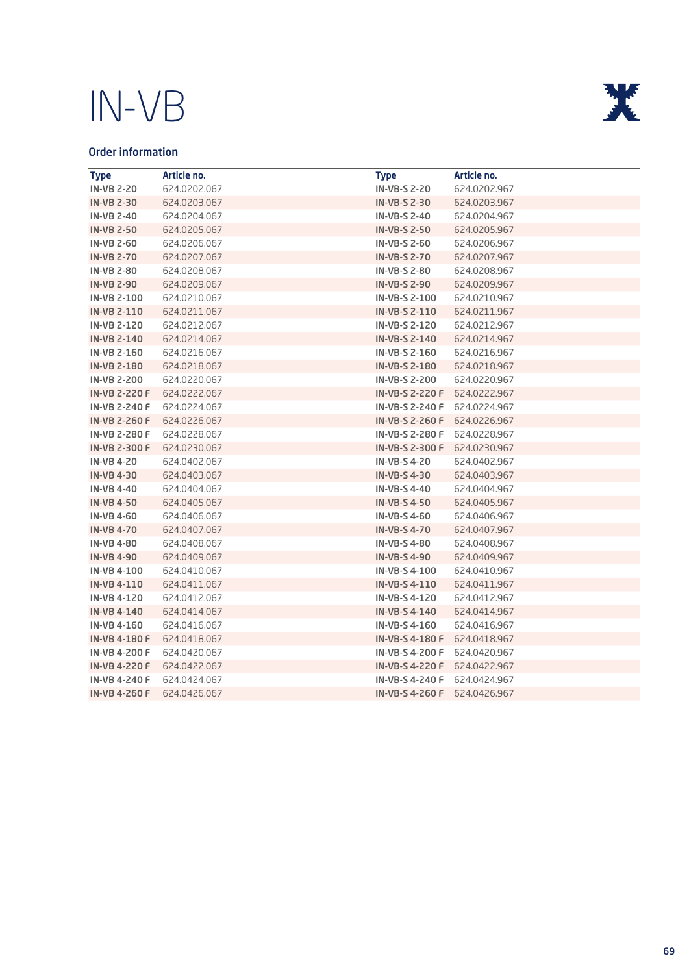

### Order information

| <b>Type</b>          | Article no.  | <b>Type</b>            | Article no.  |
|----------------------|--------------|------------------------|--------------|
| <b>IN-VB 2-20</b>    | 624.0202.067 | <b>IN-VB-S 2-20</b>    | 624.0202.967 |
| <b>IN-VB 2-30</b>    | 624.0203.067 | <b>IN-VB-S 2-30</b>    | 624.0203.967 |
| <b>IN-VB 2-40</b>    | 624.0204.067 | <b>IN-VB-S 2-40</b>    | 624.0204.967 |
| <b>IN-VB 2-50</b>    | 624.0205.067 | <b>IN-VB-S 2-50</b>    | 624.0205.967 |
| <b>IN-VB 2-60</b>    | 624.0206.067 | <b>IN-VB-S 2-60</b>    | 624.0206.967 |
| <b>IN-VB 2-70</b>    | 624.0207.067 | <b>IN-VB-S 2-70</b>    | 624.0207.967 |
| <b>IN-VB 2-80</b>    | 624.0208.067 | <b>IN-VB-S 2-80</b>    | 624.0208.967 |
| <b>IN-VB 2-90</b>    | 624.0209.067 | <b>IN-VB-S 2-90</b>    | 624.0209.967 |
| <b>IN-VB 2-100</b>   | 624.0210.067 | <b>IN-VB-S 2-100</b>   | 624.0210.967 |
| <b>IN-VB 2-110</b>   | 624.0211.067 | IN-VB-S 2-110          | 624.0211.967 |
| <b>IN-VB 2-120</b>   | 624.0212.067 | IN-VB-S 2-120          | 624.0212.967 |
| <b>IN-VB 2-140</b>   | 624.0214.067 | <b>IN-VB-S 2-140</b>   | 624.0214.967 |
| <b>IN-VB 2-160</b>   | 624.0216.067 | IN-VB-S 2-160          | 624.0216.967 |
| <b>IN-VB 2-180</b>   | 624.0218.067 | <b>IN-VB-S 2-180</b>   | 624.0218.967 |
| <b>IN-VB 2-200</b>   | 624.0220.067 | <b>IN-VB-S 2-200</b>   | 624.0220.967 |
| <b>IN-VB 2-220 F</b> | 624.0222.067 | <b>IN-VB-S 2-220 F</b> | 624.0222.967 |
| <b>IN-VB 2-240 F</b> | 624.0224.067 | <b>IN-VB-S 2-240 F</b> | 624.0224.967 |
| <b>IN-VB 2-260 F</b> | 624.0226.067 | <b>IN-VB-S 2-260 F</b> | 624.0226.967 |
| <b>IN-VB 2-280 F</b> | 624.0228.067 | <b>IN-VB-S 2-280 F</b> | 624.0228.967 |
| <b>IN-VB 2-300 F</b> | 624.0230.067 | <b>IN-VB-S 2-300 F</b> | 624.0230.967 |
| <b>IN-VB4-20</b>     | 624.0402.067 | <b>IN-VB-S4-20</b>     | 624.0402.967 |
| <b>IN-VB4-30</b>     | 624.0403.067 | <b>IN-VB-S4-30</b>     | 624.0403.967 |
| <b>IN-VB4-40</b>     | 624.0404.067 | <b>IN-VB-S4-40</b>     | 624.0404.967 |
| <b>IN-VB4-50</b>     | 624.0405.067 | <b>IN-VB-S4-50</b>     | 624.0405.967 |
| <b>IN-VB 4-60</b>    | 624.0406.067 | <b>IN-VB-S4-60</b>     | 624.0406.967 |
| <b>IN-VB4-70</b>     | 624,0407,067 | <b>IN-VB-S4-70</b>     | 624,0407,967 |
| <b>IN-VB4-80</b>     | 624.0408.067 | <b>IN-VB-S4-80</b>     | 624.0408.967 |
| <b>IN-VB 4-90</b>    | 624.0409.067 | <b>IN-VB-S4--90</b>    | 624.0409.967 |
| <b>IN-VB4-100</b>    | 624.0410.067 | IN-VB-S 4-100          | 624.0410.967 |
| <b>IN-VB4-110</b>    | 624.0411.067 | <b>IN-VB-S4-110</b>    | 624.0411.967 |
| <b>IN-VB4-120</b>    | 624.0412.067 | IN-VB-S 4-120          | 624.0412.967 |
| <b>IN-VB4-140</b>    | 624.0414.067 | <b>IN-VB-S4-140</b>    | 624.0414.967 |
| <b>IN-VB4-160</b>    | 624.0416.067 | IN-VB-S 4-160          | 624.0416.967 |
| <b>IN-VB 4-180 F</b> | 624.0418.067 | <b>IN-VB-S 4-180 F</b> | 624.0418.967 |
| <b>IN-VB4-200 F</b>  | 624.0420.067 | <b>IN-VB-S 4-200 F</b> | 624.0420.967 |
| <b>IN-VB4-220 F</b>  | 624.0422.067 | <b>IN-VB-S 4-220 F</b> | 624.0422.967 |
| <b>IN-VB 4-240 F</b> | 624.0424.067 | <b>IN-VB-S 4-240 F</b> | 624.0424.967 |
| <b>IN-VB 4-260 F</b> | 624.0426.067 | <b>IN-VB-S 4-260 F</b> | 624.0426.967 |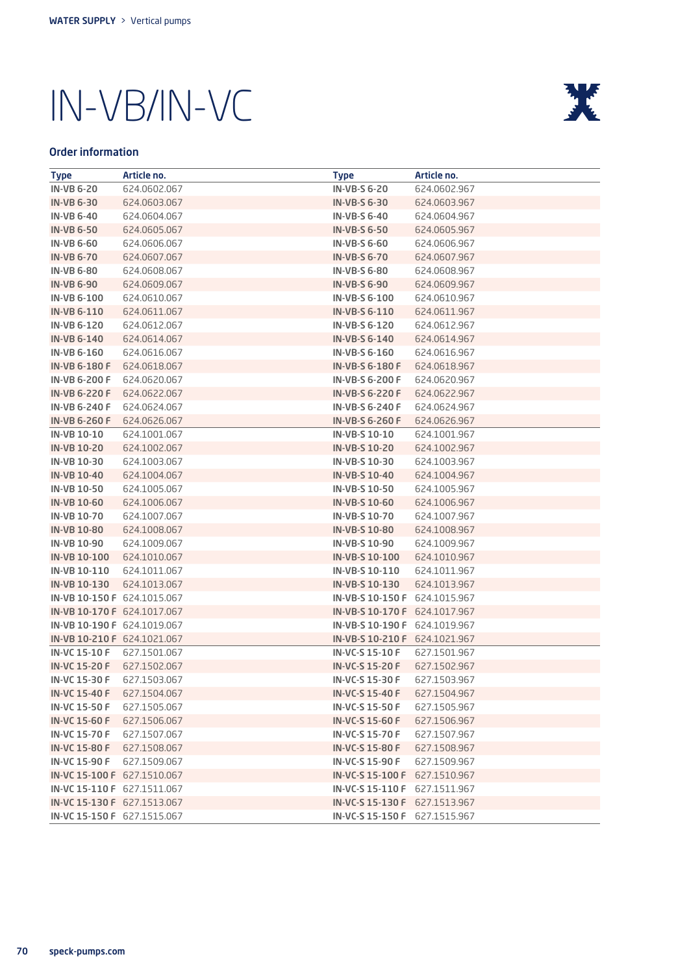

### Order information

| <b>Type</b>                 | Article no.  | <b>Type</b>                   | Article no.  |
|-----------------------------|--------------|-------------------------------|--------------|
| <b>IN-VB 6-20</b>           | 624.0602.067 | <b>IN-VB-S 6-20</b>           | 624.0602.967 |
| <b>IN-VB 6-30</b>           | 624.0603.067 | <b>IN-VB-S 6-30</b>           | 624.0603.967 |
| <b>IN-VB 6-40</b>           | 624,0604,067 | <b>IN-VB-S 6-40</b>           | 624.0604.967 |
| <b>IN-VB 6-50</b>           | 624.0605.067 | <b>IN-VB-S 6-50</b>           | 624.0605.967 |
| <b>IN-VB 6-60</b>           | 624.0606.067 | <b>IN-VB-S 6-60</b>           | 624.0606.967 |
| <b>IN-VB 6-70</b>           | 624.0607.067 | <b>IN-VB-S 6-70</b>           | 624.0607.967 |
| <b>IN-VB 6-80</b>           | 624.0608.067 | <b>IN-VB-S 6-80</b>           | 624.0608.967 |
| <b>IN-VB 6-90</b>           | 624.0609.067 | <b>IN-VB-S 6-90</b>           | 624.0609.967 |
| <b>IN-VB 6-100</b>          | 624.0610.067 | IN-VB-S 6-100                 | 624.0610.967 |
| <b>IN-VB 6-110</b>          | 624.0611.067 | <b>IN-VB-S 6-110</b>          | 624.0611.967 |
| <b>IN-VB 6-120</b>          | 624.0612.067 | IN-VB-S 6-120                 | 624.0612.967 |
| <b>IN-VB 6-140</b>          | 624,0614,067 | <b>IN-VB-S 6-140</b>          | 624.0614.967 |
| <b>IN-VB 6-160</b>          | 624.0616.067 | IN-VB-S 6-160                 | 624.0616.967 |
| <b>IN-VB 6-180 F</b>        | 624.0618.067 | <b>IN-VB-S 6-180 F</b>        | 624.0618.967 |
| <b>IN-VB 6-200 F</b>        | 624,0620,067 | <b>IN-VB-S 6-200 F</b>        | 624.0620.967 |
| <b>IN-VB 6-220 F</b>        | 624.0622.067 | <b>IN-VB-S 6-220 F</b>        | 624.0622.967 |
| <b>IN-VB 6-240 F</b>        | 624.0624.067 | <b>IN-VB-S 6-240 F</b>        | 624.0624.967 |
| <b>IN-VB 6-260 F</b>        | 624.0626.067 | <b>IN-VB-S 6-260 F</b>        | 624.0626.967 |
| <b>IN-VB 10-10</b>          | 624.1001.067 | IN-VB-S 10-10                 | 624.1001.967 |
| <b>IN-VB 10-20</b>          | 624.1002.067 | <b>IN-VB-S 10-20</b>          | 624.1002.967 |
| IN-VB 10-30                 | 624.1003.067 | IN-VB-S 10-30                 | 624.1003.967 |
| <b>IN-VB 10-40</b>          | 624.1004.067 | <b>IN-VB-S 10-40</b>          | 624.1004.967 |
| <b>IN-VB 10-50</b>          | 624.1005.067 | IN-VB-S 10-50                 | 624.1005.967 |
| <b>IN-VB 10-60</b>          | 624.1006.067 | <b>IN-VB-S 10-60</b>          | 624.1006.967 |
| <b>IN-VB 10-70</b>          | 624.1007.067 | <b>IN-VB-S 10-70</b>          | 624.1007.967 |
| <b>IN-VB 10-80</b>          | 624.1008.067 | <b>IN-VB-S 10-80</b>          | 624.1008.967 |
| <b>IN-VB 10-90</b>          | 624.1009.067 | IN-VB-S 10-90                 | 624.1009.967 |
| <b>IN-VB 10-100</b>         | 624.1010.067 | <b>IN-VB-S 10-100</b>         | 624.1010.967 |
| IN-VB 10-110                | 624.1011.067 | IN-VB-S 10-110                | 624.1011.967 |
| IN-VB 10-130                | 624.1013.067 | IN-VB-S 10-130                | 624.1013.967 |
| IN-VB 10-150 F 624.1015.067 |              | IN-VB-S 10-150 F 624.1015.967 |              |
| IN-VB 10-170 F 624.1017.067 |              | IN-VB-S 10-170 F 624.1017.967 |              |
| IN-VB 10-190 F 624.1019.067 |              | IN-VB-S 10-190 F 624.1019.967 |              |
| IN-VB 10-210 F 624.1021.067 |              | IN-VB-S 10-210 F 624.1021.967 |              |
| IN-VC 15-10 F               | 627.1501.067 | IN-VC-S 15-10 F               | 627.1501.967 |
| <b>IN-VC 15-20 F</b>        | 627.1502.067 | <b>IN-VC-S 15-20 F</b>        | 627.1502.967 |
| <b>IN-VC 15-30 F</b>        | 627.1503.067 | <b>IN-VC-S 15-30 F</b>        | 627.1503.967 |
| <b>IN-VC 15-40 F</b>        | 627.1504.067 | IN-VC-S 15-40 F               | 627.1504.967 |
| <b>IN-VC 15-50 F</b>        | 627.1505.067 | <b>IN-VC-S 15-50 F</b>        | 627.1505.967 |
| <b>IN-VC 15-60 F</b>        | 627.1506.067 | <b>IN-VC-S 15-60 F</b>        | 627.1506.967 |
| <b>IN-VC 15-70 F</b>        | 627.1507.067 | <b>IN-VC-S 15-70 F</b>        | 627.1507.967 |
| <b>IN-VC 15-80 F</b>        | 627.1508.067 | <b>IN-VC-S 15-80 F</b>        | 627.1508.967 |
| IN-VC 15-90 F               | 627.1509.067 | <b>IN-VC-S 15-90 F</b>        | 627.1509.967 |
| IN-VC 15-100 F 627.1510.067 |              | IN-VC-S 15-100 F 627.1510.967 |              |
| IN-VC 15-110 F 627.1511.067 |              | IN-VC-S 15-110 F 627.1511.967 |              |
| IN-VC 15-130 F 627.1513.067 |              | IN-VC-S 15-130 F 627.1513.967 |              |
| IN-VC 15-150 F 627.1515.067 |              | IN-VC-S 15-150 F 627.1515.967 |              |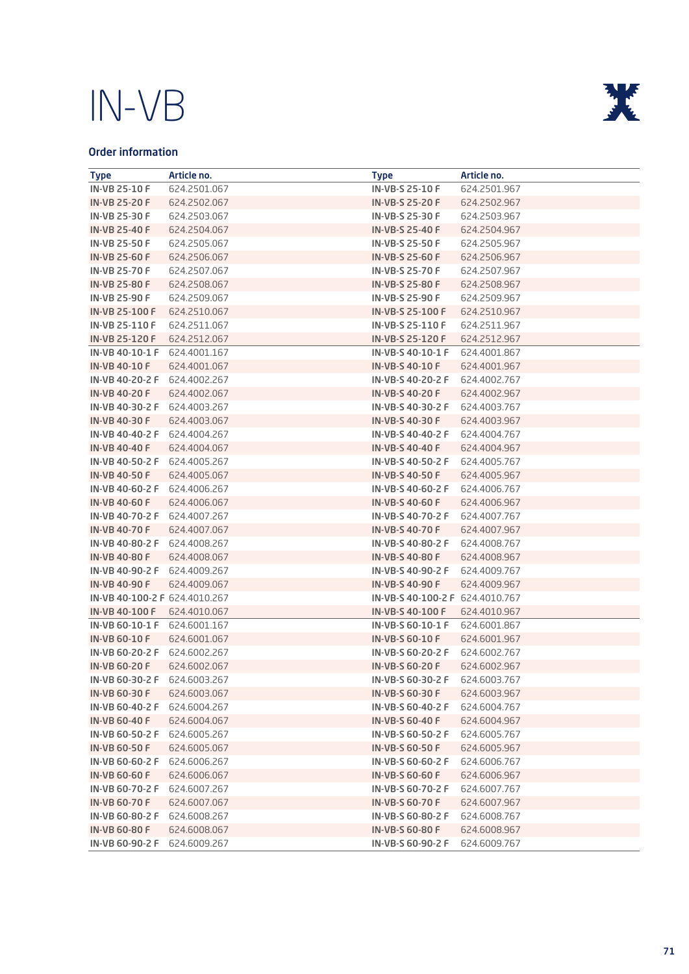

### Order information

| <b>Type</b>                   | Article no.  | <b>Type</b>                     | Article no.  |
|-------------------------------|--------------|---------------------------------|--------------|
| <b>IN-VB 25-10 F</b>          | 624.2501.067 | <b>IN-VB-S 25-10 F</b>          | 624.2501.967 |
| <b>IN-VB 25-20 F</b>          | 624.2502.067 | <b>IN-VB-S 25-20 F</b>          | 624.2502.967 |
| IN-VB 25-30 F                 | 624.2503.067 | IN-VB-S 25-30 F                 | 624.2503.967 |
| <b>IN-VB 25-40 F</b>          | 624.2504.067 | <b>IN-VB-S 25-40 F</b>          | 624.2504.967 |
| <b>IN-VB 25-50 F</b>          | 624.2505.067 | <b>IN-VB-S 25-50 F</b>          | 624.2505.967 |
| <b>IN-VB 25-60 F</b>          | 624.2506.067 | <b>IN-VB-S 25-60 F</b>          | 624.2506.967 |
| <b>IN-VB 25-70 F</b>          | 624.2507.067 | <b>IN-VB-S 25-70 F</b>          | 624.2507.967 |
| <b>IN-VB 25-80 F</b>          | 624.2508.067 | <b>IN-VB-S 25-80 F</b>          | 624.2508.967 |
| <b>IN-VB 25-90 F</b>          | 624.2509.067 | IN-VB-S 25-90 F                 | 624.2509.967 |
| <b>IN-VB 25-100 F</b>         | 624.2510.067 | <b>IN-VB-S 25-100 F</b>         | 624.2510.967 |
| IN-VB 25-110 F                | 624.2511.067 | IN-VB-S 25-110 F                | 624.2511.967 |
| IN-VB 25-120 F                | 624.2512.067 | IN-VB-S 25-120 F                | 624.2512.967 |
| IN-VB 40-10-1 F               | 624,4001.167 | IN-VB-S 40-10-1 F               | 624,4001,867 |
| <b>IN-VB 40-10 F</b>          | 624.4001.067 | <b>IN-VB-S 40-10 F</b>          | 624.4001.967 |
| IN-VB 40-20-2 F               | 624.4002.267 | IN-VB-S 40-20-2 F               | 624,4002,767 |
| <b>IN-VB 40-20 F</b>          | 624.4002.067 | <b>IN-VB-S 40-20 F</b>          | 624.4002.967 |
| IN-VB 40-30-2 F               | 624.4003.267 | IN-VB-S 40-30-2 F               | 624.4003.767 |
| <b>IN-VB 40-30 F</b>          | 624,4003,067 | <b>IN-VB-S 40-30 F</b>          | 624,4003,967 |
| IN-VB 40-40-2 F               | 624.4004.267 | IN-VB-S 40-40-2 F               | 624,4004,767 |
| <b>IN-VB 40-40 F</b>          | 624,4004,067 | <b>IN-VB-S 40-40 F</b>          | 624.4004.967 |
| IN-VB 40-50-2 F               | 624.4005.267 | IN-VB-S 40-50-2 F               | 624.4005.767 |
| <b>IN-VB 40-50 F</b>          | 624.4005.067 | <b>IN-VB-S 40-50 F</b>          | 624.4005.967 |
| IN-VB 40-60-2 F               | 624.4006.267 | IN-VB-S 40-60-2 F               | 624,4006,767 |
| <b>IN-VB 40-60 F</b>          | 624.4006.067 | <b>IN-VB-S 40-60 F</b>          | 624.4006.967 |
| IN-VB 40-70-2 F               | 624,4007,267 | IN-VB-S 40-70-2 F               | 624,4007,767 |
| <b>IN-VB 40-70 F</b>          | 624.4007.067 | <b>IN-VB-S 40-70 F</b>          | 624.4007.967 |
| IN-VB 40-80-2 F               | 624.4008.267 | IN-VB-S 40-80-2 F               | 624,4008,767 |
| <b>IN-VB 40-80 F</b>          | 624.4008.067 | <b>IN-VB-S 40-80 F</b>          | 624.4008.967 |
| IN-VB 40-90-2 F               | 624.4009.267 | IN-VB-S 40-90-2 F               | 624,4009,767 |
| <b>IN-VB 40-90 F</b>          | 624.4009.067 | <b>IN-VB-S 40-90 F</b>          | 624.4009.967 |
| IN-VB 40-100-2 F 624.4010.267 |              | IN-VB-S 40-100-2 F 624.4010.767 |              |
| <b>IN-VB 40-100 F</b>         | 624.4010.067 | IN-VB-S 40-100 F                | 624.4010.967 |
| IN-VB 60-10-1 F               | 624,6001.167 | IN-VB-S 60-10-1 F               | 624.6001.867 |
| <b>IN-VB 60-10 F</b>          | 624.6001.067 | <b>IN-VB-S 60-10 F</b>          | 624.6001.967 |
| IN-VB 60-20-2 F               | 624,6002,267 | IN-VB-S 60-20-2 F               | 624,6002,767 |
| <b>IN-VB 60-20 F</b>          | 624,6002,067 | <b>IN-VB-S 60-20 F</b>          | 624,6002,967 |
| IN-VB 60-30-2 F               | 624.6003.267 | IN-VB-S 60-30-2 F               | 624.6003.767 |
| <b>IN-VB 60-30 F</b>          | 624.6003.067 | <b>IN-VB-S 60-30 F</b>          | 624.6003.967 |
| IN-VB 60-40-2 F               | 624.6004.267 | IN-VB-S 60-40-2 F               | 624.6004.767 |
| <b>IN-VB 60-40 F</b>          | 624,6004,067 | <b>IN-VB-S 60-40 F</b>          | 624.6004.967 |
| IN-VB 60-50-2 F               | 624,6005,267 | IN-VB-S 60-50-2 F               | 624.6005.767 |
| <b>IN-VB 60-50 F</b>          | 624.6005.067 | <b>IN-VB-S 60-50 F</b>          | 624.6005.967 |
| IN-VB 60-60-2 F               | 624.6006.267 | IN-VB-S 60-60-2 F               | 624.6006.767 |
| <b>IN-VB 60-60 F</b>          | 624,6006,067 | <b>IN-VB-S 60-60 F</b>          | 624.6006.967 |
| IN-VB 60-70-2 F               | 624.6007.267 | IN-VB-S 60-70-2 F               | 624.6007.767 |
| <b>IN-VB 60-70 F</b>          | 624.6007.067 | <b>IN-VB-S 60-70 F</b>          | 624.6007.967 |
| IN-VB 60-80-2 F               | 624.6008.267 | IN-VB-S 60-80-2 F               | 624.6008.767 |
| <b>IN-VB 60-80 F</b>          | 624,6008,067 | <b>IN-VB-S 60-80 F</b>          | 624,6008,967 |
| IN-VB 60-90-2 F               | 624.6009.267 | IN-VB-S 60-90-2 F               | 624.6009.767 |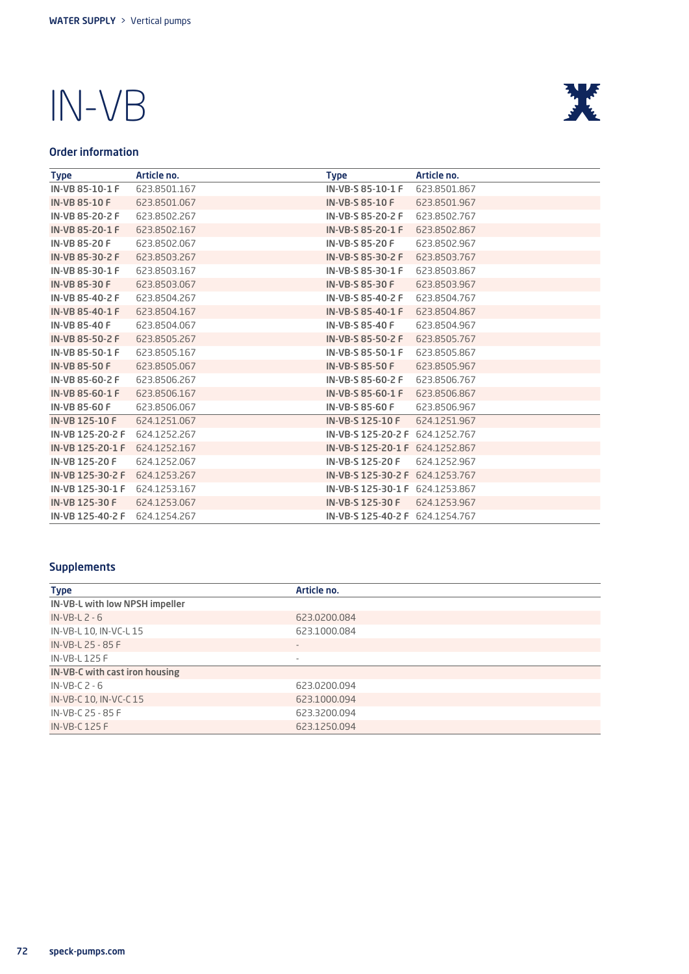

### Order information

| <b>Type</b>           | Article no.  | <b>Type</b>                     | Article no.  |
|-----------------------|--------------|---------------------------------|--------------|
| IN-VB 85-10-1 F       | 623,8501,167 | IN-VB-S 85-10-1 F               | 623.8501.867 |
| <b>IN-VB 85-10 F</b>  | 623,8501,067 | IN-VB-S 85-10 F                 | 623,8501,967 |
| IN-VB 85-20-2 F       | 623,8502,267 | IN-VB-S 85-20-2 F               | 623,8502,767 |
| IN-VB 85-20-1 F       | 623,8502,167 | IN-VB-S 85-20-1 F               | 623,8502,867 |
| <b>IN-VB 85-20 F</b>  | 623,8502,067 | <b>IN-VB-S 85-20 F</b>          | 623,8502,967 |
| IN-VB 85-30-2 F       | 623,8503,267 | IN-VB-S 85-30-2 F               | 623,8503,767 |
| IN-VB 85-30-1 F       | 623,8503,167 | IN-VB-S 85-30-1 F               | 623.8503.867 |
| IN-VB 85-30 F         | 623.8503.067 | <b>IN-VB-S 85-30 F</b>          | 623,8503,967 |
| IN-VB 85-40-2 F       | 623.8504.267 | IN-VB-S 85-40-2 F               | 623.8504.767 |
| IN-VB 85-40-1 F       | 623.8504.167 | IN-VB-S 85-40-1 F               | 623.8504.867 |
| <b>IN-VB 85-40 F</b>  | 623.8504.067 | <b>IN-VB-S 85-40 F</b>          | 623.8504.967 |
| IN-VB 85-50-2 F       | 623,8505,267 | IN-VB-S 85-50-2 F               | 623,8505,767 |
| IN-VB 85-50-1 F       | 623,8505,167 | IN-VB-S 85-50-1 F               | 623,8505,867 |
| <b>IN-VB 85-50 F</b>  | 623,8505,067 | <b>IN-VB-S 85-50 F</b>          | 623.8505.967 |
| IN-VB 85-60-2 F       | 623,8506,267 | IN-VB-S 85-60-2 F               | 623,8506,767 |
| IN-VB 85-60-1 F       | 623.8506.167 | IN-VB-S 85-60-1 F               | 623.8506.867 |
| <b>IN-VB 85-60 F</b>  | 623.8506.067 | IN-VB-S 85-60 F                 | 623.8506.967 |
| <b>IN-VB 125-10 F</b> | 624.1251.067 | <b>IN-VB-S 125-10 F</b>         | 624.1251.967 |
| IN-VB 125-20-2 F      | 624.1252.267 | IN-VB-S 125-20-2 F              | 624.1252.767 |
| IN-VB 125-20-1 F      | 624.1252.167 | IN-VB-S 125-20-1 F 624.1252.867 |              |
| IN-VB 125-20 F        | 624.1252.067 | IN-VB-S 125-20 F                | 624.1252.967 |
| IN-VB 125-30-2 F      | 624.1253.267 | IN-VB-S 125-30-2 F 624.1253.767 |              |
| IN-VB 125-30-1 F      | 624.1253.167 | IN-VB-S 125-30-1 F 624.1253.867 |              |
| <b>IN-VB 125-30 F</b> | 624.1253.067 | IN-VB-S 125-30 F                | 624.1253.967 |
| IN-VB 125-40-2 F      | 624.1254.267 | IN-VB-S 125-40-2 F 624.1254.767 |              |

### **Supplements**

| <b>Type</b>                    | Article no.  |
|--------------------------------|--------------|
| IN-VB-L with low NPSH impeller |              |
| $IN-VB-L2-6$                   | 623,0200,084 |
| IN-VB-L 10, IN-VC-L 15         | 623,1000,084 |
| IN-VB-L 25 - 85 F              |              |
| IN-VB-L 125 F                  | ۰            |
| IN-VB-C with cast iron housing |              |
| $IN-VB-C2-6$                   | 623.0200.094 |
| IN-VB-C 10, IN-VC-C 15         | 623.1000.094 |
| IN-VB-C 25 - 85 F              | 623,3200,094 |
| IN-VB-C 125 F                  | 623,1250,094 |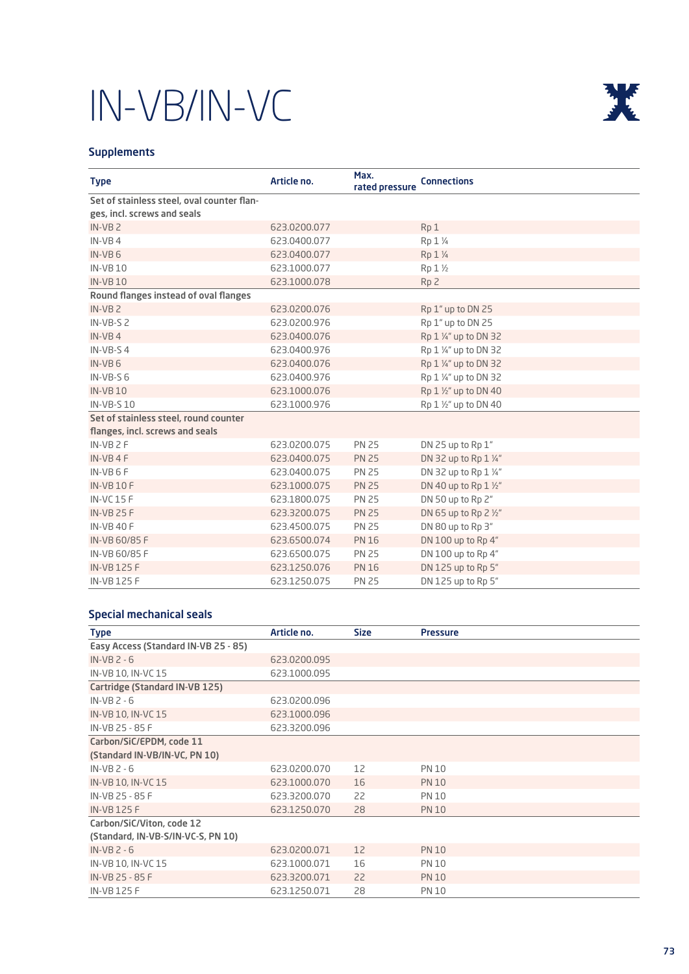

### **Supplements**

| <b>Type</b>                                | Article no.  | Max.<br>rated pressure | <b>Connections</b>            |
|--------------------------------------------|--------------|------------------------|-------------------------------|
| Set of stainless steel, oval counter flan- |              |                        |                               |
| ges, incl. screws and seals                |              |                        |                               |
| $IN-VB2$                                   | 623,0200,077 |                        | Rp <sub>1</sub>               |
| $IN-VB 4$                                  | 623.0400.077 |                        | Rp 1 1/4                      |
| $IN-VB 6$                                  | 623,0400,077 |                        | Rp 1 1/4                      |
| <b>IN-VB10</b>                             | 623,1000,077 |                        | Rp 1 1/2                      |
| <b>IN-VB10</b>                             | 623.1000.078 |                        | Rp <sub>2</sub>               |
| Round flanges instead of oval flanges      |              |                        |                               |
| $IN-VB2$                                   | 623,0200,076 |                        | Rp 1" up to DN 25             |
| $IN-VB-52$                                 | 623,0200,976 |                        | Rp 1" up to DN 25             |
| $IN-VB 4$                                  | 623,0400,076 |                        | Rp 1 1/4" up to DN 32         |
| $IN-VB-S4$                                 | 623,0400,976 |                        | Rp 1 1/4" up to DN 32         |
| $IN-VB 6$                                  | 623,0400,076 |                        | Rp 1 1/4" up to DN 32         |
| $IN-VB-56$                                 | 623,0400,976 |                        | Rp 1 ¼" up to DN 32           |
| <b>IN-VB10</b>                             | 623,1000,076 |                        | Rp 1 1/2" up to DN 40         |
| <b>IN-VB-S10</b>                           | 623.1000.976 |                        | Rp 1 1/2" up to DN 40         |
| Set of stainless steel, round counter      |              |                        |                               |
| flanges, incl. screws and seals            |              |                        |                               |
| $IN-VB 2F$                                 | 623,0200,075 | <b>PN 25</b>           | DN 25 up to Rp 1"             |
| $IN-VB 4F$                                 | 623,0400,075 | <b>PN 25</b>           | DN 32 up to Rp 1 1/4"         |
| $IN-VB 6 F$                                | 623,0400,075 | <b>PN 25</b>           | DN 32 up to Rp 1 1/4"         |
| <b>IN-VB10F</b>                            | 623.1000.075 | <b>PN 25</b>           | DN 40 up to Rp $1\frac{1}{2}$ |
| <b>IN-VC15F</b>                            | 623.1800.075 | <b>PN 25</b>           | DN 50 up to Rp 2"             |
| <b>IN-VB 25 F</b>                          | 623,3200,075 | <b>PN 25</b>           | DN 65 up to Rp 2 1/2"         |
| <b>IN-VB 40 F</b>                          | 623,4500,075 | <b>PN 25</b>           | DN 80 up to Rp 3"             |
| IN-VB 60/85 F                              | 623,6500,074 | <b>PN 16</b>           | DN 100 up to Rp 4"            |
| IN-VB 60/85 F                              | 623,6500,075 | <b>PN 25</b>           | DN 100 up to Rp 4"            |
| <b>IN-VB125F</b>                           | 623.1250.076 | <b>PN 16</b>           | DN 125 up to Rp 5"            |
| <b>IN-VB125F</b>                           | 623.1250.075 | <b>PN 25</b>           | DN 125 up to Rp 5"            |

### Special mechanical seals

| <b>Type</b>                          | Article no.  | <b>Size</b> | <b>Pressure</b> |
|--------------------------------------|--------------|-------------|-----------------|
| Easy Access (Standard IN-VB 25 - 85) |              |             |                 |
| $IN-VB 2 - 6$                        | 623,0200,095 |             |                 |
| IN-VB 10, IN-VC 15                   | 623,1000,095 |             |                 |
| Cartridge (Standard IN-VB 125)       |              |             |                 |
| $IN-VB 2 - 6$                        | 623,0200,096 |             |                 |
| IN-VB 10, IN-VC 15                   | 623.1000.096 |             |                 |
| IN-VB 25 - 85 F                      | 623,3200,096 |             |                 |
| Carbon/SiC/EPDM, code 11             |              |             |                 |
| (Standard IN-VB/IN-VC, PN 10)        |              |             |                 |
| $IN-VB 2 - 6$                        | 623,0200,070 | 12          | <b>PN 10</b>    |
| IN-VB 10, IN-VC 15                   | 623.1000.070 | 16          | <b>PN 10</b>    |
| IN-VB 25 - 85 F                      | 623.3200.070 | 22          | <b>PN 10</b>    |
| <b>IN-VB125F</b>                     | 623.1250.070 | 28          | <b>PN 10</b>    |
| Carbon/SiC/Viton, code 12            |              |             |                 |
| (Standard, IN-VB-S/IN-VC-S, PN 10)   |              |             |                 |
| $IN-VB 2 - 6$                        | 623,0200,071 | 12          | <b>PN 10</b>    |
| IN-VB 10, IN-VC 15                   | 623,1000,071 | 16          | <b>PN 10</b>    |
| IN-VB 25 - 85 F                      | 623,3200,071 | 22          | <b>PN 10</b>    |
| IN-VB 125 F                          | 623.1250.071 | 28          | <b>PN 10</b>    |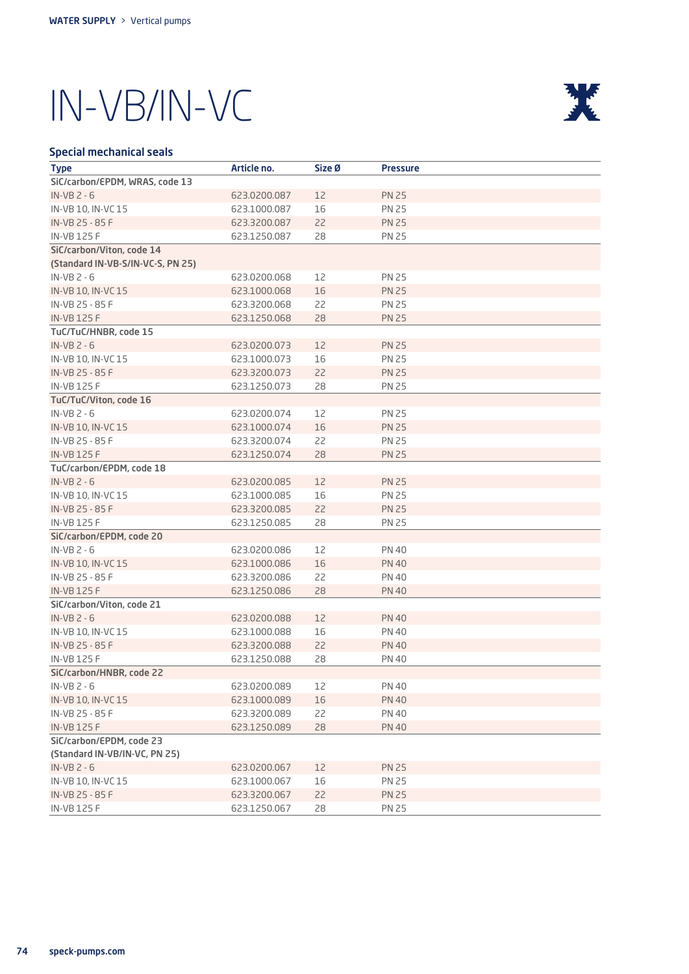

### Special mechanical seals

| <b>Type</b>                       | Article no.  | Size Ø | <b>Pressure</b> |
|-----------------------------------|--------------|--------|-----------------|
| SiC/carbon/EPDM, WRAS, code 13    |              |        |                 |
| $IN-VB 2 - 6$                     | 623.0200.087 | 12     | <b>PN 25</b>    |
| IN-VB 10, IN-VC 15                | 623.1000.087 | 16     | <b>PN 25</b>    |
| IN-VB 25 - 85 F                   | 623.3200.087 | 22     | <b>PN 25</b>    |
| <b>IN-VB125F</b>                  | 623.1250.087 | 28     | <b>PN 25</b>    |
| SiC/carbon/Viton, code 14         |              |        |                 |
| (Standard IN-VB-S/IN-VC-S, PN 25) |              |        |                 |
| $IN-VB 2 - 6$                     | 623.0200.068 | 12     | <b>PN 25</b>    |
| IN-VB 10, IN-VC 15                | 623,1000,068 | 16     | <b>PN 25</b>    |
| IN-VB 25 - 85 F                   | 623.3200.068 | 22     | <b>PN 25</b>    |
| <b>IN-VB 125 F</b>                | 623.1250.068 | 28     | <b>PN 25</b>    |
| TuC/TuC/HNBR, code 15             |              |        |                 |
| $IN-VB$ $2 - 6$                   | 623.0200.073 | 12     | <b>PN 25</b>    |
| IN-VB 10, IN-VC 15                | 623.1000.073 | 16     | <b>PN 25</b>    |
| IN-VB 25 - 85 F                   | 623.3200.073 | 22     | <b>PN 25</b>    |
| <b>IN-VB125F</b>                  | 623.1250.073 | 28     | <b>PN 25</b>    |
| TuC/TuC/Viton, code 16            |              |        |                 |
| $IN-VB 2 - 6$                     | 623.0200.074 | 12     | <b>PN 25</b>    |
| IN-VB 10, IN-VC 15                | 623.1000.074 | 16     | <b>PN 25</b>    |
| IN-VB 25 - 85 F                   | 623.3200.074 | 22     | <b>PN 25</b>    |
| <b>IN-VB 125 F</b>                | 623.1250.074 | 28     | <b>PN 25</b>    |
| TuC/carbon/EPDM, code 18          |              |        |                 |
| $IN-VB 2 - 6$                     | 623.0200.085 | 12     | <b>PN 25</b>    |
| IN-VB 10, IN-VC 15                | 623.1000.085 | 16     | <b>PN 25</b>    |
| IN-VB 25 - 85 F                   | 623.3200.085 | 22     | <b>PN 25</b>    |
| IN-VB 125 F                       | 623.1250.085 | 28     | <b>PN 25</b>    |
| SiC/carbon/EPDM, code 20          |              |        |                 |
| $IN-VB 2 - 6$                     | 623.0200.086 | 12     | <b>PN 40</b>    |
| IN-VB 10, IN-VC 15                | 623.1000.086 | 16     | <b>PN 40</b>    |
| IN-VB 25 - 85 F                   | 623.3200.086 | 22     | <b>PN 40</b>    |
| <b>IN-VB125F</b>                  | 623.1250.086 | 28     | <b>PN 40</b>    |
| SiC/carbon/Viton, code 21         |              |        |                 |
| $IN-VB 2 - 6$                     | 623.0200.088 | 12     | <b>PN 40</b>    |
| IN-VB 10, IN-VC 15                | 623.1000.088 | 16     | PN 40           |
| IN-VB 25 - 85 F                   | 623.3200.088 | 22     | <b>PN 40</b>    |
| <b>IN-VB 125 F</b>                | 623.1250.088 | 28     | <b>PN 40</b>    |
| SiC/carbon/HNBR, code 22          |              |        |                 |
| $IN-VB 2 - 6$                     | 623.0200.089 | 12     | <b>PN 40</b>    |
| IN-VB 10, IN-VC 15                | 623.1000.089 | 16     | <b>PN 40</b>    |
| IN-VB 25 - 85 F                   | 623.3200.089 | 22     | <b>PN 40</b>    |
| <b>IN-VB125F</b>                  | 623.1250.089 | 28     | <b>PN 40</b>    |
| SiC/carbon/EPDM, code 23          |              |        |                 |
| (Standard IN-VB/IN-VC, PN 25)     |              |        |                 |
| $IN-VB 2 - 6$                     | 623.0200.067 | 12     | <b>PN 25</b>    |
| IN-VB 10, IN-VC 15                | 623.1000.067 | 16     | PN 25           |
| IN-VB 25 - 85 F                   | 623.3200.067 | 22     | <b>PN 25</b>    |
| IN-VB 125 F                       | 623.1250.067 | 28     | <b>PN 25</b>    |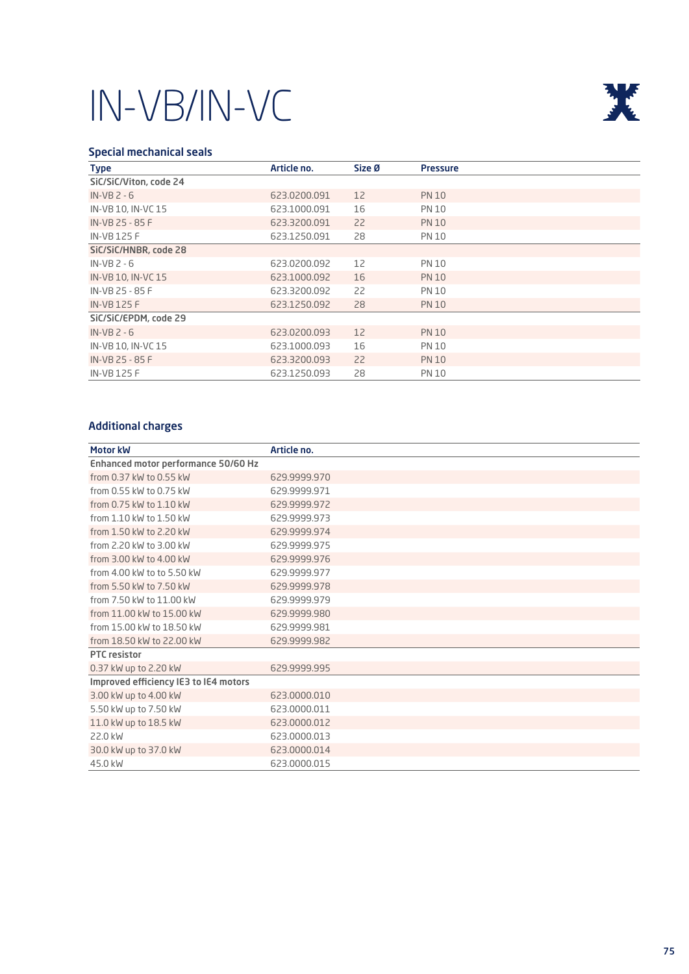

### Special mechanical seals

| <b>Type</b>            | Article no.  | Size Ø | <b>Pressure</b> |
|------------------------|--------------|--------|-----------------|
| SiC/SiC/Viton, code 24 |              |        |                 |
| $IN-VB 2 - 6$          | 623.0200.091 | 12     | <b>PN 10</b>    |
| IN-VB 10, IN-VC 15     | 623,1000,091 | 16     | <b>PN 10</b>    |
| IN-VB 25 - 85 F        | 623,3200,091 | 22     | <b>PN 10</b>    |
| <b>IN-VB125F</b>       | 623.1250.091 | 28     | <b>PN 10</b>    |
| SiC/SiC/HNBR, code 28  |              |        |                 |
| $IN-VB 2 - 6$          | 623,0200,092 | 12     | <b>PN 10</b>    |
| IN-VB 10, IN-VC 15     | 623.1000.092 | 16     | <b>PN 10</b>    |
| IN-VB 25 - 85 F        | 623,3200,092 | 22     | <b>PN 10</b>    |
| <b>IN-VB125F</b>       | 623.1250.092 | 28     | <b>PN 10</b>    |
| SiC/SiC/EPDM, code 29  |              |        |                 |
| $IN-VB 2 - 6$          | 623,0200,093 | 12     | <b>PN 10</b>    |
| IN-VB 10, IN-VC 15     | 623,1000,093 | 16     | <b>PN 10</b>    |
| IN-VB 25 - 85 F        | 623,3200,093 | 22     | <b>PN 10</b>    |
| <b>IN-VB125F</b>       | 623.1250.093 | 28     | <b>PN 10</b>    |

### Additional charges

| Motor kW                              | Article no.  |
|---------------------------------------|--------------|
| Enhanced motor performance 50/60 Hz   |              |
| from 0.37 kW to 0.55 kW               | 629,9999,970 |
| from 0.55 kW to 0.75 kW               | 629.9999.971 |
| from 0.75 kW to 1.10 kW               | 629.9999.972 |
| from 1.10 kW to 1.50 kW               | 629.9999.973 |
| from 1.50 kW to 2.20 kW               | 629.9999.974 |
| from 2.20 kW to 3.00 kW               | 629.9999.975 |
| from 3.00 kW to 4.00 kW               | 629,9999,976 |
| from 4.00 kW to to 5.50 kW            | 629.9999.977 |
| from 5.50 kW to 7.50 kW               | 629,9999,978 |
| from 7.50 kW to 11.00 kW              | 629.9999.979 |
| from 11.00 kW to 15.00 kW             | 629,9999,980 |
| from 15.00 kW to 18.50 kW             | 629.9999.981 |
| from 18.50 kW to 22.00 kW             | 629,9999,982 |
| <b>PTC</b> resistor                   |              |
| 0.37 kW up to 2.20 kW                 | 629,9999,995 |
| Improved efficiency IE3 to IE4 motors |              |
| 3.00 kW up to 4.00 kW                 | 623,0000,010 |
| 5.50 kW up to 7.50 kW                 | 623,0000,011 |
| 11.0 kW up to 18.5 kW                 | 623,0000,012 |
| 22.0 kW                               | 623,0000,013 |
| 30.0 kW up to 37.0 kW                 | 623,0000,014 |
| 45.0 kW                               | 623.0000.015 |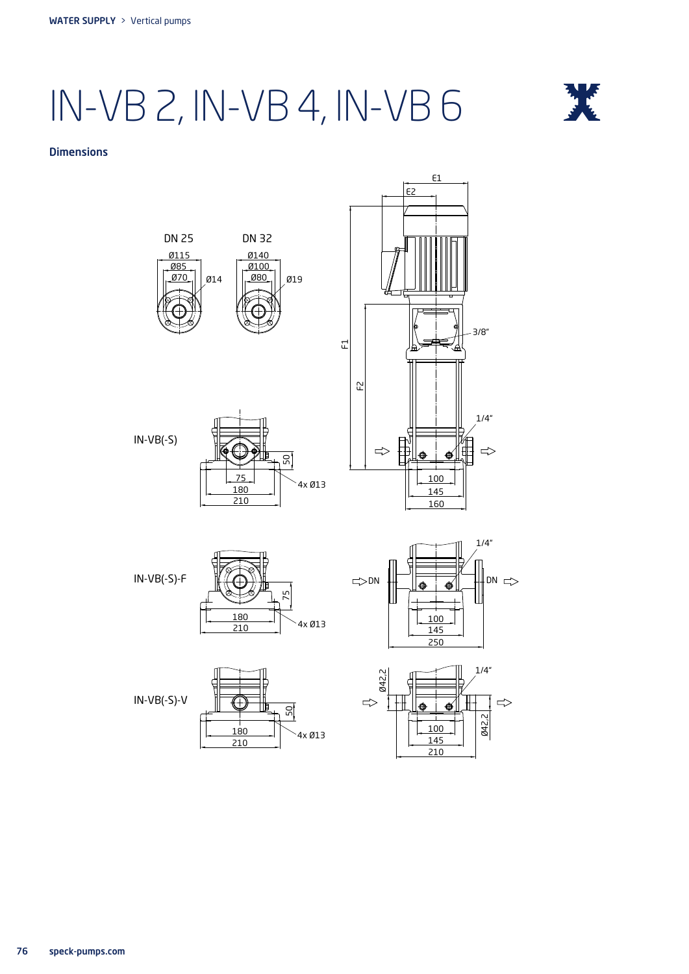## IN-VB 2, IN-VB 4, IN-VB 6



#### **Dimensions**

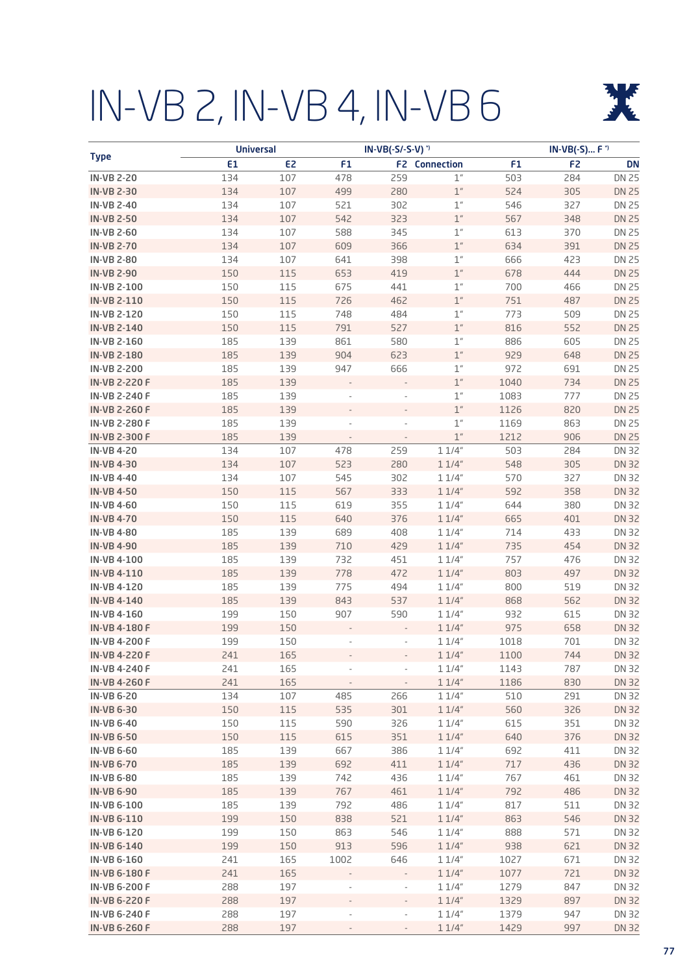# IN-VB 2, IN-VB 4, IN-VB 6



|                                        | <b>Universal</b> |                |                | IN-VB(-S/-S-V) <sup>*</sup> |                                  |            | IN-VB(-S) F <sup>*</sup> |                       |
|----------------------------------------|------------------|----------------|----------------|-----------------------------|----------------------------------|------------|--------------------------|-----------------------|
| <b>Type</b>                            | E1               | E <sub>2</sub> | F <sub>1</sub> |                             | <b>F2</b> Connection             | F1         | F <sub>2</sub>           | <b>DN</b>             |
| <b>IN-VB 2-20</b>                      | 134              | 107            | 478            | 259                         | $1^{\prime\prime}$               | 503        | 284                      | <b>DN 25</b>          |
| <b>IN-VB 2-30</b>                      | 134              | 107            | 499            | 280                         | $\mathbb{1}''$                   | 524        | 305                      | <b>DN 25</b>          |
| <b>IN-VB 2-40</b>                      | 134              | 107            | 521            | 302                         | $\mathbb{1}''$                   | 546        | 327                      | <b>DN 25</b>          |
| <b>IN-VB 2-50</b>                      | 134              | 107            | 542            | 323                         | $1$ $\phantom{1}^{\prime\prime}$ | 567        | 348                      | <b>DN 25</b>          |
| <b>IN-VB 2-60</b>                      | 134              | 107            | 588            | 345                         | $\mathbb{1}''$                   | 613        | 370                      | <b>DN 25</b>          |
| <b>IN-VB 2-70</b>                      | 134              | 107            | 609            | 366                         | $\mathbb{1}''$                   | 634        | 391                      | <b>DN 25</b>          |
| <b>IN-VB 2-80</b>                      | 134              | 107            | 641            | 398                         | $\mathbb{1}''$                   | 666        | 423                      | <b>DN 25</b>          |
| <b>IN-VB 2-90</b>                      | 150              | 115            | 653            | 419                         | $\mathbb{1}''$                   | 678        | 444                      | <b>DN 25</b>          |
| <b>IN-VB 2-100</b>                     | 150              | 115            | 675            | 441                         | $\mathbb{1}''$                   | 700        | 466                      | <b>DN 25</b>          |
| IN-VB 2-110                            | 150              | 115            | 726            | 462                         | $\mathbb{1}''$                   | 751        | 487                      | <b>DN 25</b>          |
| IN-VB 2-120                            | 150              | 115            | 748            | 484                         | $1^{\prime\prime}$               | 773        | 509                      | <b>DN 25</b>          |
| <b>IN-VB 2-140</b>                     | 150              | 115            | 791            | 527                         | $1^{\prime\prime}$               | 816        | 552                      | <b>DN 25</b>          |
| IN-VB 2-160                            | 185              | 139            | 861            | 580                         | $1^{\prime\prime}$               | 886        | 605                      | <b>DN 25</b>          |
| <b>IN-VB 2-180</b>                     | 185              | 139            | 904            | 623                         | $\mathbb{1}''$                   | 929        | 648                      | <b>DN 25</b>          |
| <b>IN-VB 2-200</b>                     | 185              | 139            | 947            | 666                         | $1^{\prime\prime}$               | 972        | 691                      | <b>DN 25</b>          |
| <b>IN-VB 2-220 F</b>                   | 185              | 139            |                |                             | $\mathbb{1}''$                   | 1040       | 734                      | <b>DN 25</b>          |
| IN-VB 2-240 F                          | 185              | 139            |                |                             | $\mathbb{1}''$                   | 1083       | 777                      | <b>DN 25</b>          |
| <b>IN-VB 2-260 F</b>                   | 185              | 139            |                |                             | $\mathbb{1}^n$                   | 1126       | 820                      | <b>DN 25</b>          |
| IN-VB 2-280 F                          | 185              | 139            |                |                             | $1^{\prime\prime}$               | 1169       | 863                      | <b>DN 25</b>          |
| <b>IN-VB 2-300 F</b>                   | 185              | 139            |                |                             | $1^{\prime\prime}$               | 1212       | 906                      | <b>DN 25</b>          |
| <b>IN-VB4-20</b>                       | 134              | 107            | 478            | 259                         | 11/4"                            | 503        | 284                      | <b>DN 32</b>          |
| <b>IN-VB4-30</b>                       | 134              | 107            | 523            | 280                         | 11/4"                            | 548        | 305                      | <b>DN 32</b>          |
| <b>IN-VB4-40</b>                       | 134              | 107            | 545            | 302                         | 11/4"                            | 570        | 327                      | <b>DN 32</b>          |
| <b>IN-VB4-50</b>                       | 150              | 115            | 567            | 333                         | 11/4"                            | 592        | 358                      | <b>DN 32</b>          |
| <b>IN-VB4-60</b>                       | 150              | 115            | 619            | 355                         | 11/4"                            | 644        | 380                      | <b>DN 32</b>          |
| <b>IN-VB4-70</b>                       | 150              | 115            | 640            | 376                         | 11/4"                            | 665        | 401                      | <b>DN 32</b>          |
| <b>IN-VB4-80</b>                       | 185              | 139            | 689            | 408                         | 11/4"                            | 714        | 433                      | <b>DN 32</b>          |
| <b>IN-VB4-90</b>                       | 185              | 139            | 710            | 429                         | 11/4"                            | 735        | 454                      | <b>DN 32</b>          |
| <b>IN-VB 4-100</b>                     | 185              | 139            | 732            | 451                         | 11/4"                            | 757        | 476                      | <b>DN 32</b>          |
| <b>IN-VB 4-110</b>                     | 185              | 139            | 778            | 472                         | 11/4"                            | 803        | 497                      | <b>DN 32</b>          |
| <b>IN-VB4-120</b>                      | 185              | 139            | 775            | 494                         | 11/4"                            | 800        | 519                      | <b>DN 32</b>          |
| <b>IN-VB4-140</b>                      | 185              | 139            | 843            | 537                         | 11/4"                            | 868        | 562                      | <b>DN 32</b>          |
| <b>IN-VB4-160</b>                      | 199              | 150            | 907            | 590                         | 11/4"                            | 932        | 615                      | <b>DN 32</b>          |
| IN-VB 4-180 F                          | 199              | 150            |                |                             | 11/4"                            | 975        | 658                      | <b>DN 32</b>          |
| <b>IN-VB 4-200 F</b>                   | 199              | 150            |                |                             | 11/4"                            | 1018       | 701                      | <b>DN 32</b>          |
| <b>IN-VB4-220F</b>                     | 241              | 165            |                |                             | 11/4"                            | 1100       | 744                      | <b>DN 32</b>          |
| <b>IN-VB 4-240 F</b>                   | 241              | 165            |                | $\overline{\phantom{a}}$    | 11/4"                            | 1143       | 787                      | DN 32                 |
| <b>IN-VB4-260F</b>                     | 241              | 165            |                |                             | 11/4"                            | 1186       | 830                      | <b>DN 32</b>          |
| <b>IN-VB 6-20</b><br><b>IN-VB 6-30</b> | 134              | 107            | 485            | 266                         | 11/4"                            | 510        | 291                      | DN 32                 |
| <b>IN-VB 6-40</b>                      | 150<br>150       | 115<br>115     | 535<br>590     | 301<br>326                  | 11/4"<br>11/4"                   | 560<br>615 | 326<br>351               | <b>DN 32</b><br>DN 32 |
| <b>IN-VB 6-50</b>                      | 150              | 115            | 615            | 351                         | 11/4"                            | 640        | 376                      | <b>DN 32</b>          |
| <b>IN-VB 6-60</b>                      | 185              | 139            | 667            | 386                         | 11/4"                            | 692        | 411                      | DN 32                 |
| <b>IN-VB 6-70</b>                      | 185              | 139            | 692            | 411                         | 11/4"                            | 717        | 436                      | <b>DN 32</b>          |
| <b>IN-VB 6-80</b>                      | 185              | 139            | 742            | 436                         | 11/4"                            | 767        | 461                      | DN 32                 |
| <b>IN-VB 6-90</b>                      | 185              | 139            | 767            | 461                         | 11/4"                            | 792        | 486                      | <b>DN 32</b>          |
| <b>IN-VB 6-100</b>                     | 185              | 139            | 792            | 486                         | 11/4"                            | 817        | 511                      | DN 32                 |
| <b>IN-VB6-110</b>                      | 199              | 150            | 838            | 521                         | 11/4"                            | 863        | 546                      | <b>DN 32</b>          |
| <b>IN-VB 6-120</b>                     | 199              | 150            | 863            | 546                         | 11/4"                            | 888        | 571                      | DN 32                 |
| <b>IN-VB 6-140</b>                     | 199              | 150            | 913            | 596                         | 11/4"                            | 938        | 621                      | <b>DN 32</b>          |
| <b>IN-VB 6-160</b>                     | 241              | 165            | 1002           | 646                         | 11/4"                            | 1027       | 671                      | DN 32                 |
| <b>IN-VB 6-180 F</b>                   | 241              | 165            |                |                             | 11/4"                            | 1077       | 721                      | <b>DN 32</b>          |
| <b>IN-VB 6-200 F</b>                   | 288              | 197            |                |                             | 11/4"                            | 1279       | 847                      | DN 32                 |
| <b>IN-VB 6-220 F</b>                   | 288              | 197            |                |                             | 11/4"                            | 1329       | 897                      | <b>DN 32</b>          |
| <b>IN-VB 6-240 F</b>                   | 288              | 197            |                |                             | 11/4"                            | 1379       | 947                      | DN 32                 |
| <b>IN-VB 6-260 F</b>                   | 288              | 197            |                |                             | 11/4"                            | 1429       | 997                      | <b>DN 32</b>          |
|                                        |                  |                |                |                             |                                  |            |                          |                       |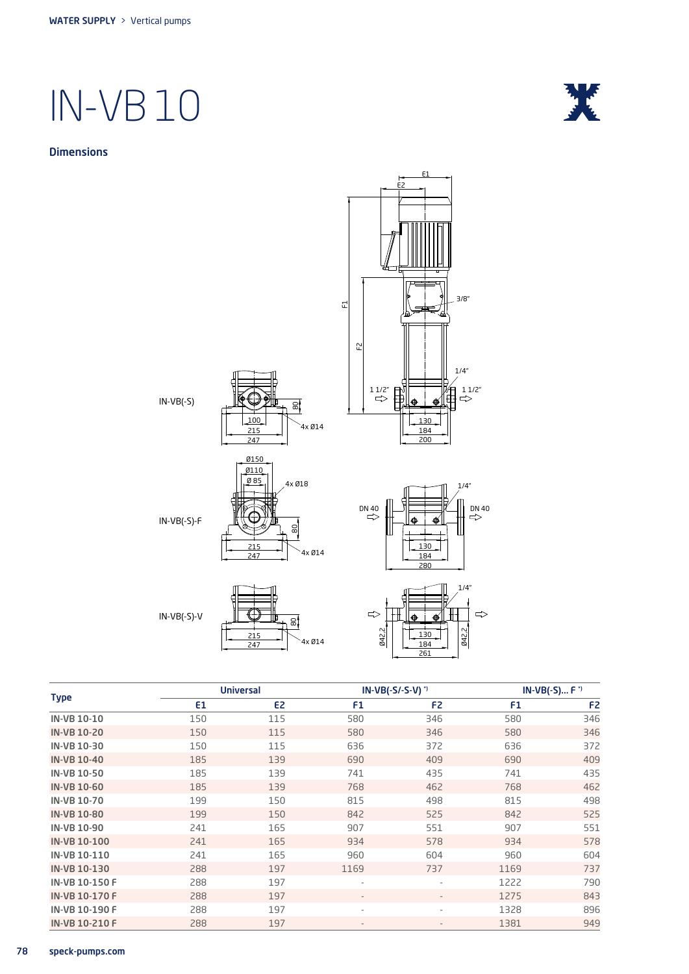





IN-VB(-S)

100 215 247  $\mathbb{S}^1$ 



IN-VB(-S)-F



IN-VB(-S)-V





1/4"



|                       |                | <b>Universal</b> |                          | $IN-VB(-S/-S-V)^{*}$     | $IN-VB(-S) F$ <sup>*</sup> |                |  |
|-----------------------|----------------|------------------|--------------------------|--------------------------|----------------------------|----------------|--|
| <b>Type</b>           | E <sub>1</sub> | E <sub>2</sub>   | F1                       | F <sub>2</sub>           | F <sub>1</sub>             | F <sub>2</sub> |  |
| <b>IN-VB 10-10</b>    | 150            | 115              | 580                      | 346                      | 580                        | 346            |  |
| <b>IN-VB 10-20</b>    | 150            | 115              | 580                      | 346                      | 580                        | 346            |  |
| IN-VB 10-30           | 150            | 115              | 636                      | 372                      | 636                        | 372            |  |
| <b>IN-VB 10-40</b>    | 185            | 139              | 690                      | 409                      | 690                        | 409            |  |
| <b>IN-VB 10-50</b>    | 185            | 139              | 741                      | 435                      | 741                        | 435            |  |
| <b>IN-VB 10-60</b>    | 185            | 139              | 768                      | 462                      | 768                        | 462            |  |
| <b>IN-VB 10-70</b>    | 199            | 150              | 815                      | 498                      | 815                        | 498            |  |
| <b>IN-VB 10-80</b>    | 199            | 150              | 842                      | 525                      | 842                        | 525            |  |
| <b>IN-VB 10-90</b>    | 241            | 165              | 907                      | 551                      | 907                        | 551            |  |
| <b>IN-VB 10-100</b>   | 241            | 165              | 934                      | 578                      | 934                        | 578            |  |
| IN-VB 10-110          | 241            | 165              | 960                      | 604                      | 960                        | 604            |  |
| <b>IN-VB 10-130</b>   | 288            | 197              | 1169                     | 737                      | 1169                       | 737            |  |
| IN-VB 10-150 F        | 288            | 197              | $\overline{\phantom{a}}$ | $\overline{\phantom{a}}$ | 1222                       | 790            |  |
| IN-VB 10-170 F        | 288            | 197              | $\overline{\phantom{a}}$ | $\overline{\phantom{a}}$ | 1275                       | 843            |  |
| <b>IN-VB 10-190 F</b> | 288            | 197              | $\overline{\phantom{a}}$ | $\overline{\phantom{a}}$ | 1328                       | 896            |  |
| IN-VB 10-210 F        | 288            | 197              | $\overline{\phantom{a}}$ | $\overline{\phantom{a}}$ | 1381                       | 949            |  |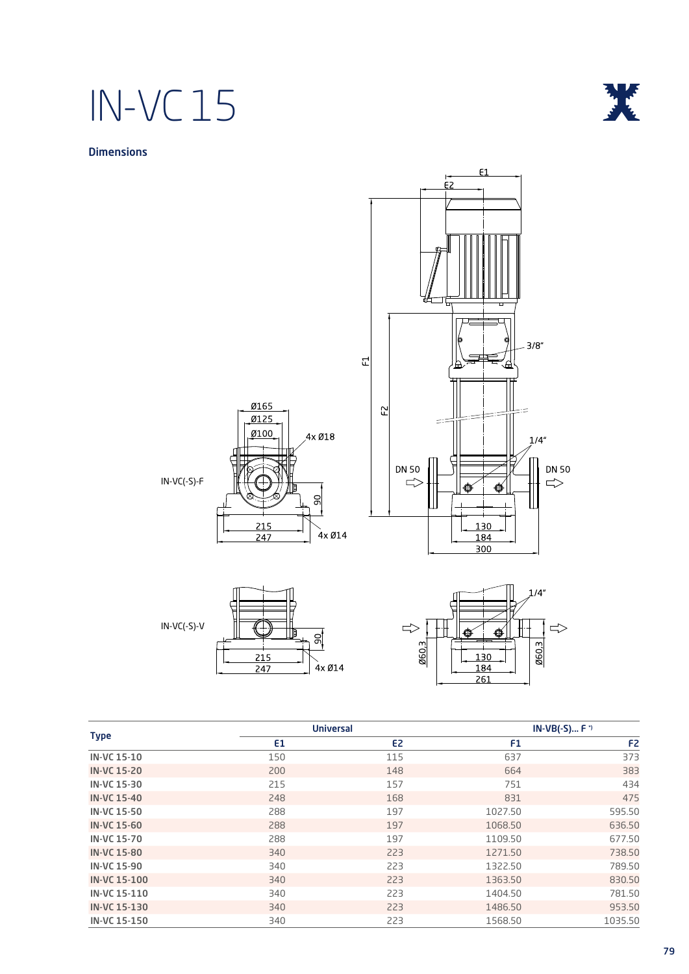## IN-VC 15



### **Dimensions**



IN-VC(-S)-F





|                     |     | <b>Universal</b> |         | $IN-VB(-S) F$ <sup>*</sup> |
|---------------------|-----|------------------|---------|----------------------------|
| <b>Type</b>         | E1  | E <sub>2</sub>   | F1      | F <sub>2</sub>             |
| <b>IN-VC 15-10</b>  | 150 | 115              | 637     | 373                        |
| <b>IN-VC 15-20</b>  | 200 | 148              | 664     | 383                        |
| <b>IN-VC 15-30</b>  | 215 | 157              | 751     | 434                        |
| <b>IN-VC 15-40</b>  | 248 | 168              | 831     | 475                        |
| <b>IN-VC 15-50</b>  | 288 | 197              | 1027.50 | 595.50                     |
| <b>IN-VC 15-60</b>  | 288 | 197              | 1068.50 | 636.50                     |
| <b>IN-VC 15-70</b>  | 288 | 197              | 1109.50 | 677.50                     |
| <b>IN-VC 15-80</b>  | 340 | 223              | 1271.50 | 738.50                     |
| <b>IN-VC 15-90</b>  | 340 | 223              | 1322.50 | 789.50                     |
| <b>IN-VC 15-100</b> | 340 | 223              | 1363.50 | 830.50                     |
| IN-VC 15-110        | 340 | 223              | 1404.50 | 781.50                     |
| <b>IN-VC 15-130</b> | 340 | 223              | 1486.50 | 953.50                     |
| IN-VC 15-150        | 340 | 223              | 1568.50 | 1035.50                    |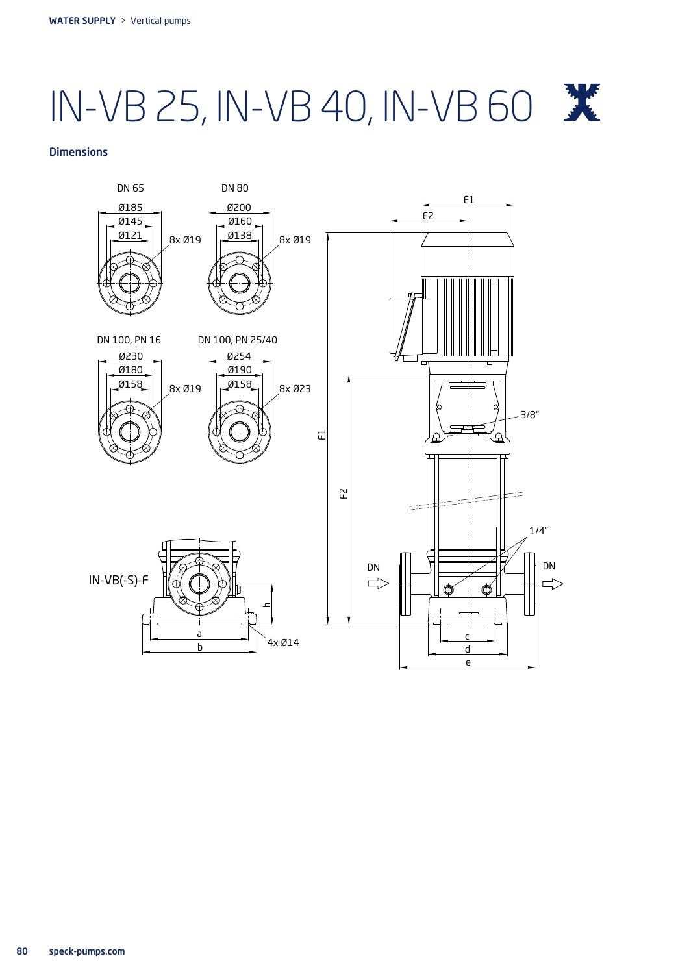# IN-VB 25, IN-VB 40, IN-VB 60

#### **Dimensions**

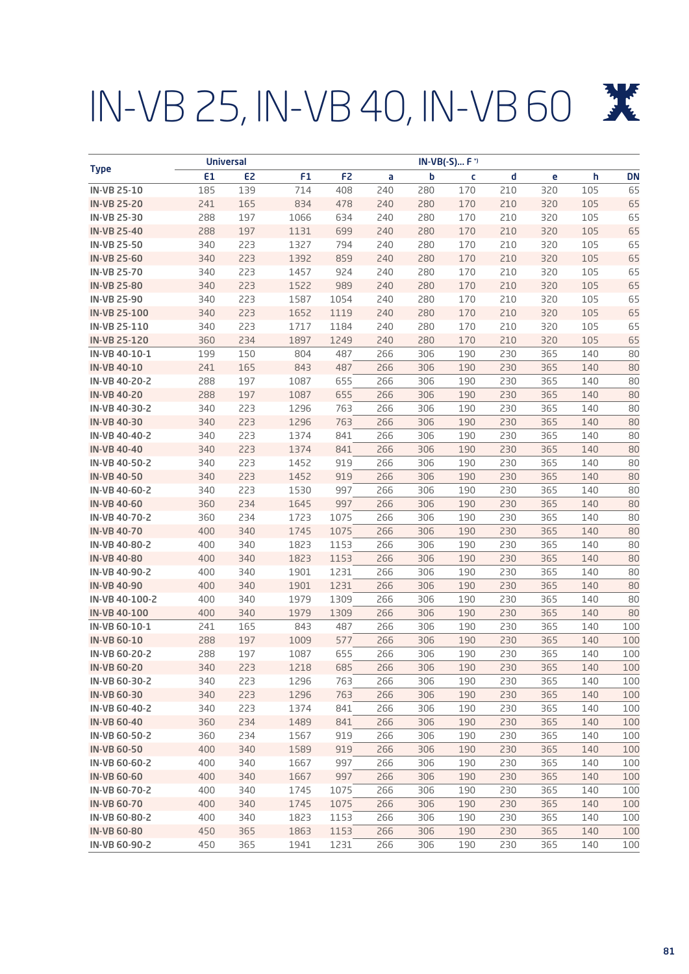# IN-VB 25, IN-VB 40, IN-VB 60

| E1<br>E <sub>2</sub><br>F <sub>1</sub><br>F <sub>2</sub><br>b<br>d<br>h<br><b>DN</b><br>a<br>c<br>e<br>139<br>210<br><b>IN-VB 25-10</b><br>185<br>714<br>408<br>240<br>280<br>170<br>320<br>105<br>65<br>165<br>834<br>170<br><b>IN-VB 25-20</b><br>241<br>478<br>280<br>210<br>320<br>105<br>65<br>240<br>288<br>197<br>1066<br>170<br>320<br>65<br><b>IN-VB 25-30</b><br>634<br>240<br>280<br>210<br>105<br>197<br>65<br><b>IN-VB 25-40</b><br>288<br>1131<br>699<br>240<br>280<br>170<br>210<br>320<br>105<br>340<br>223<br>794<br>170<br>65<br><b>IN-VB 25-50</b><br>1327<br>240<br>280<br>210<br>320<br>105<br>223<br>170<br>65<br><b>IN-VB 25-60</b><br>340<br>1392<br>859<br>240<br>280<br>210<br>320<br>105<br>223<br><b>IN-VB 25-70</b><br>340<br>1457<br>924<br>240<br>280<br>170<br>210<br>320<br>105<br>65<br>223<br>1522<br>989<br>170<br><b>IN-VB 25-80</b><br>340<br>240<br>280<br>210<br>320<br>105<br>65<br>223<br>340<br>1587<br>1054<br>240<br>280<br>170<br>210<br>320<br>105<br>65<br><b>IN-VB 25-90</b><br>223<br>170<br>105<br><b>IN-VB 25-100</b><br>340<br>1652<br>1119<br>240<br>280<br>210<br>320<br>65<br>223<br>IN-VB 25-110<br>340<br>1717<br>1184<br>240<br>280<br>170<br>210<br>320<br>105<br>65<br>234<br><b>IN-VB 25-120</b><br>360<br>1897<br>1249<br>240<br>280<br>170<br>210<br>320<br>105<br>65<br>150<br>190<br>365<br>IN-VB 40-10-1<br>199<br>804<br>487<br>266<br>306<br>230<br>140<br>80<br>165<br>843<br>190<br><b>IN-VB 40-10</b><br>241<br>487<br>266<br>306<br>230<br>365<br>140<br>80<br>197<br>1087<br>288<br>655<br>266<br>190<br>230<br>365<br>140<br>80<br>IN-VB 40-20-2<br>306<br>197<br><b>IN-VB 40-20</b><br>288<br>1087<br>655<br>266<br>306<br>190<br>230<br>365<br>140<br>80<br>223<br>1296<br>763<br>IN-VB 40-30-2<br>340<br>266<br>306<br>190<br>230<br>365<br>80<br>140<br>223<br>1296<br>763<br><b>IN-VB 40-30</b><br>340<br>266<br>306<br>190<br>230<br>365<br>80<br>140<br>223<br>IN-VB 40-40-2<br>340<br>1374<br>841<br>266<br>306<br>190<br>230<br>365<br>80<br>140<br>223<br><b>IN-VB 40-40</b><br>340<br>1374<br>841<br>266<br>306<br>190<br>230<br>365<br>140<br>80<br>223<br>IN-VB 40-50-2<br>340<br>1452<br>919<br>266<br>306<br>190<br>230<br>365<br>80<br>140<br>223<br>919<br><b>IN-VB 40-50</b><br>340<br>1452<br>266<br>306<br>190<br>230<br>365<br>140<br>80<br>223<br>IN-VB 40-60-2<br>340<br>1530<br>997<br>266<br>306<br>190<br>230<br>365<br>80<br>140<br>234<br>1645<br>997<br>190<br><b>IN-VB 40-60</b><br>360<br>266<br>306<br>230<br>365<br>80<br>140<br>234<br>IN-VB 40-70-2<br>360<br>1723<br>1075<br>266<br>306<br>190<br>230<br>365<br>140<br>80<br>340<br><b>IN-VB 40-70</b><br>400<br>1745<br>1075<br>266<br>306<br>190<br>230<br>365<br>80<br>140<br>340<br>190<br>IN-VB 40-80-2<br>400<br>1823<br>1153<br>266<br>306<br>230<br>365<br>80<br>140<br>340<br><b>IN-VB 40-80</b><br>400<br>1823<br>1153<br>266<br>306<br>190<br>230<br>365<br>80<br>140<br>340<br>IN-VB 40-90-2<br>400<br>1901<br>1231<br>266<br>306<br>190<br>230<br>365<br>140<br>80<br>400<br>340<br>1901<br>1231<br>266<br>306<br>190<br>230<br>365<br><b>IN-VB 40-90</b><br>140<br>80<br>IN-VB 40-100-2<br>400<br>340<br>1979<br>1309<br>266<br>306<br>190<br>230<br>365<br>140<br>80<br>400<br>340<br>1979<br>266<br>306<br>190<br>230<br>365<br>80<br><b>IN-VB 40-100</b><br>1309<br>140<br>241<br>165<br>487<br>266<br>190<br>230<br>365<br>100<br>843<br>306<br>140<br>IN-VB 60-10-1<br>197<br>1009<br><b>IN-VB 60-10</b><br>288<br>577<br>266<br>306<br>190<br>230<br>365<br>140<br>100<br>655<br>266<br>IN-VB 60-20-2<br>288<br>197<br>1087<br>306<br>190<br>230<br>365<br>100<br>140<br><b>IN-VB 60-20</b><br>340<br>223<br>1218<br>685<br>266<br>306<br>190<br>230<br>365<br>140<br>100<br>223<br>1296<br>190<br>100<br>IN-VB 60-30-2<br>340<br>763<br>266<br>306<br>230<br>365<br>140<br>1296<br>763<br>266<br><b>IN-VB 60-30</b><br>340<br>223<br>306<br>190<br>230<br>365<br>100<br>140<br>223<br>266<br>190<br>365<br>IN-VB 60-40-2<br>340<br>1374<br>841<br>306<br>230<br>140<br>100<br>234<br>841<br><b>IN-VB 60-40</b><br>360<br>1489<br>266<br>190<br>230<br>365<br>306<br>140<br>100<br>234<br>919<br>IN-VB 60-50-2<br>360<br>1567<br>266<br>306<br>190<br>230<br>365<br>140<br>100<br>400<br>340<br>1589<br>919<br>266<br>306<br>190<br>230<br>365<br>140<br><b>IN-VB 60-50</b><br>100<br>400<br>340<br>1667<br>997<br>266<br>190<br>230<br>365<br>IN-VB 60-60-2<br>306<br>140<br>100<br>340<br>1667<br>997<br>266<br>190<br>365<br><b>IN-VB 60-60</b><br>400<br>306<br>230<br>140<br>100<br>IN-VB 60-70-2<br>400<br>340<br>1745<br>1075<br>266<br>190<br>365<br>306<br>230<br>140<br>100<br>400<br>340<br>1745<br>1075<br>266<br>306<br>190<br>230<br>365<br>140<br><b>IN-VB 60-70</b><br>100<br>IN-VB 60-80-2<br>400<br>340<br>1823<br>1153<br>266<br>190<br>365<br>306<br>230<br>140<br>100<br><b>IN-VB 60-80</b><br>450<br>365<br>1863<br>1153<br>266<br>306<br>190<br>230<br>365<br>140<br>100<br>190<br>IN-VB 60-90-2<br>450<br>365<br>1941<br>1231<br>266<br>306<br>230<br>365<br>140<br>100 |             | <b>Universal</b> | IN-VB(-S) F <sup>*</sup> |  |  |  |  |
|------------------------------------------------------------------------------------------------------------------------------------------------------------------------------------------------------------------------------------------------------------------------------------------------------------------------------------------------------------------------------------------------------------------------------------------------------------------------------------------------------------------------------------------------------------------------------------------------------------------------------------------------------------------------------------------------------------------------------------------------------------------------------------------------------------------------------------------------------------------------------------------------------------------------------------------------------------------------------------------------------------------------------------------------------------------------------------------------------------------------------------------------------------------------------------------------------------------------------------------------------------------------------------------------------------------------------------------------------------------------------------------------------------------------------------------------------------------------------------------------------------------------------------------------------------------------------------------------------------------------------------------------------------------------------------------------------------------------------------------------------------------------------------------------------------------------------------------------------------------------------------------------------------------------------------------------------------------------------------------------------------------------------------------------------------------------------------------------------------------------------------------------------------------------------------------------------------------------------------------------------------------------------------------------------------------------------------------------------------------------------------------------------------------------------------------------------------------------------------------------------------------------------------------------------------------------------------------------------------------------------------------------------------------------------------------------------------------------------------------------------------------------------------------------------------------------------------------------------------------------------------------------------------------------------------------------------------------------------------------------------------------------------------------------------------------------------------------------------------------------------------------------------------------------------------------------------------------------------------------------------------------------------------------------------------------------------------------------------------------------------------------------------------------------------------------------------------------------------------------------------------------------------------------------------------------------------------------------------------------------------------------------------------------------------------------------------------------------------------------------------------------------------------------------------------------------------------------------------------------------------------------------------------------------------------------------------------------------------------------------------------------------------------------------------------------------------------------------------------------------------------------------------------------------------------------------------------------------------------------------------------------------------------------------------------------------------------------------------------------------------------------------------------------------------------------------------------------------------------------------------------------------------------------------------------------------------------------------------------------------------------------------------------------------------------------------------------------------------------------------------------------------------------------------------------------------------------------------------------------------------------------------------------------------------------------------------------------------------------------------------------------------------------------------------------------------------------|-------------|------------------|--------------------------|--|--|--|--|
|                                                                                                                                                                                                                                                                                                                                                                                                                                                                                                                                                                                                                                                                                                                                                                                                                                                                                                                                                                                                                                                                                                                                                                                                                                                                                                                                                                                                                                                                                                                                                                                                                                                                                                                                                                                                                                                                                                                                                                                                                                                                                                                                                                                                                                                                                                                                                                                                                                                                                                                                                                                                                                                                                                                                                                                                                                                                                                                                                                                                                                                                                                                                                                                                                                                                                                                                                                                                                                                                                                                                                                                                                                                                                                                                                                                                                                                                                                                                                                                                                                                                                                                                                                                                                                                                                                                                                                                                                                                                                                                                                                                                                                                                                                                                                                                                                                                                                                                                                                                                                                                                                    | <b>Type</b> |                  |                          |  |  |  |  |
|                                                                                                                                                                                                                                                                                                                                                                                                                                                                                                                                                                                                                                                                                                                                                                                                                                                                                                                                                                                                                                                                                                                                                                                                                                                                                                                                                                                                                                                                                                                                                                                                                                                                                                                                                                                                                                                                                                                                                                                                                                                                                                                                                                                                                                                                                                                                                                                                                                                                                                                                                                                                                                                                                                                                                                                                                                                                                                                                                                                                                                                                                                                                                                                                                                                                                                                                                                                                                                                                                                                                                                                                                                                                                                                                                                                                                                                                                                                                                                                                                                                                                                                                                                                                                                                                                                                                                                                                                                                                                                                                                                                                                                                                                                                                                                                                                                                                                                                                                                                                                                                                                    |             |                  |                          |  |  |  |  |
|                                                                                                                                                                                                                                                                                                                                                                                                                                                                                                                                                                                                                                                                                                                                                                                                                                                                                                                                                                                                                                                                                                                                                                                                                                                                                                                                                                                                                                                                                                                                                                                                                                                                                                                                                                                                                                                                                                                                                                                                                                                                                                                                                                                                                                                                                                                                                                                                                                                                                                                                                                                                                                                                                                                                                                                                                                                                                                                                                                                                                                                                                                                                                                                                                                                                                                                                                                                                                                                                                                                                                                                                                                                                                                                                                                                                                                                                                                                                                                                                                                                                                                                                                                                                                                                                                                                                                                                                                                                                                                                                                                                                                                                                                                                                                                                                                                                                                                                                                                                                                                                                                    |             |                  |                          |  |  |  |  |
|                                                                                                                                                                                                                                                                                                                                                                                                                                                                                                                                                                                                                                                                                                                                                                                                                                                                                                                                                                                                                                                                                                                                                                                                                                                                                                                                                                                                                                                                                                                                                                                                                                                                                                                                                                                                                                                                                                                                                                                                                                                                                                                                                                                                                                                                                                                                                                                                                                                                                                                                                                                                                                                                                                                                                                                                                                                                                                                                                                                                                                                                                                                                                                                                                                                                                                                                                                                                                                                                                                                                                                                                                                                                                                                                                                                                                                                                                                                                                                                                                                                                                                                                                                                                                                                                                                                                                                                                                                                                                                                                                                                                                                                                                                                                                                                                                                                                                                                                                                                                                                                                                    |             |                  |                          |  |  |  |  |
|                                                                                                                                                                                                                                                                                                                                                                                                                                                                                                                                                                                                                                                                                                                                                                                                                                                                                                                                                                                                                                                                                                                                                                                                                                                                                                                                                                                                                                                                                                                                                                                                                                                                                                                                                                                                                                                                                                                                                                                                                                                                                                                                                                                                                                                                                                                                                                                                                                                                                                                                                                                                                                                                                                                                                                                                                                                                                                                                                                                                                                                                                                                                                                                                                                                                                                                                                                                                                                                                                                                                                                                                                                                                                                                                                                                                                                                                                                                                                                                                                                                                                                                                                                                                                                                                                                                                                                                                                                                                                                                                                                                                                                                                                                                                                                                                                                                                                                                                                                                                                                                                                    |             |                  |                          |  |  |  |  |
|                                                                                                                                                                                                                                                                                                                                                                                                                                                                                                                                                                                                                                                                                                                                                                                                                                                                                                                                                                                                                                                                                                                                                                                                                                                                                                                                                                                                                                                                                                                                                                                                                                                                                                                                                                                                                                                                                                                                                                                                                                                                                                                                                                                                                                                                                                                                                                                                                                                                                                                                                                                                                                                                                                                                                                                                                                                                                                                                                                                                                                                                                                                                                                                                                                                                                                                                                                                                                                                                                                                                                                                                                                                                                                                                                                                                                                                                                                                                                                                                                                                                                                                                                                                                                                                                                                                                                                                                                                                                                                                                                                                                                                                                                                                                                                                                                                                                                                                                                                                                                                                                                    |             |                  |                          |  |  |  |  |
|                                                                                                                                                                                                                                                                                                                                                                                                                                                                                                                                                                                                                                                                                                                                                                                                                                                                                                                                                                                                                                                                                                                                                                                                                                                                                                                                                                                                                                                                                                                                                                                                                                                                                                                                                                                                                                                                                                                                                                                                                                                                                                                                                                                                                                                                                                                                                                                                                                                                                                                                                                                                                                                                                                                                                                                                                                                                                                                                                                                                                                                                                                                                                                                                                                                                                                                                                                                                                                                                                                                                                                                                                                                                                                                                                                                                                                                                                                                                                                                                                                                                                                                                                                                                                                                                                                                                                                                                                                                                                                                                                                                                                                                                                                                                                                                                                                                                                                                                                                                                                                                                                    |             |                  |                          |  |  |  |  |
|                                                                                                                                                                                                                                                                                                                                                                                                                                                                                                                                                                                                                                                                                                                                                                                                                                                                                                                                                                                                                                                                                                                                                                                                                                                                                                                                                                                                                                                                                                                                                                                                                                                                                                                                                                                                                                                                                                                                                                                                                                                                                                                                                                                                                                                                                                                                                                                                                                                                                                                                                                                                                                                                                                                                                                                                                                                                                                                                                                                                                                                                                                                                                                                                                                                                                                                                                                                                                                                                                                                                                                                                                                                                                                                                                                                                                                                                                                                                                                                                                                                                                                                                                                                                                                                                                                                                                                                                                                                                                                                                                                                                                                                                                                                                                                                                                                                                                                                                                                                                                                                                                    |             |                  |                          |  |  |  |  |
|                                                                                                                                                                                                                                                                                                                                                                                                                                                                                                                                                                                                                                                                                                                                                                                                                                                                                                                                                                                                                                                                                                                                                                                                                                                                                                                                                                                                                                                                                                                                                                                                                                                                                                                                                                                                                                                                                                                                                                                                                                                                                                                                                                                                                                                                                                                                                                                                                                                                                                                                                                                                                                                                                                                                                                                                                                                                                                                                                                                                                                                                                                                                                                                                                                                                                                                                                                                                                                                                                                                                                                                                                                                                                                                                                                                                                                                                                                                                                                                                                                                                                                                                                                                                                                                                                                                                                                                                                                                                                                                                                                                                                                                                                                                                                                                                                                                                                                                                                                                                                                                                                    |             |                  |                          |  |  |  |  |
|                                                                                                                                                                                                                                                                                                                                                                                                                                                                                                                                                                                                                                                                                                                                                                                                                                                                                                                                                                                                                                                                                                                                                                                                                                                                                                                                                                                                                                                                                                                                                                                                                                                                                                                                                                                                                                                                                                                                                                                                                                                                                                                                                                                                                                                                                                                                                                                                                                                                                                                                                                                                                                                                                                                                                                                                                                                                                                                                                                                                                                                                                                                                                                                                                                                                                                                                                                                                                                                                                                                                                                                                                                                                                                                                                                                                                                                                                                                                                                                                                                                                                                                                                                                                                                                                                                                                                                                                                                                                                                                                                                                                                                                                                                                                                                                                                                                                                                                                                                                                                                                                                    |             |                  |                          |  |  |  |  |
|                                                                                                                                                                                                                                                                                                                                                                                                                                                                                                                                                                                                                                                                                                                                                                                                                                                                                                                                                                                                                                                                                                                                                                                                                                                                                                                                                                                                                                                                                                                                                                                                                                                                                                                                                                                                                                                                                                                                                                                                                                                                                                                                                                                                                                                                                                                                                                                                                                                                                                                                                                                                                                                                                                                                                                                                                                                                                                                                                                                                                                                                                                                                                                                                                                                                                                                                                                                                                                                                                                                                                                                                                                                                                                                                                                                                                                                                                                                                                                                                                                                                                                                                                                                                                                                                                                                                                                                                                                                                                                                                                                                                                                                                                                                                                                                                                                                                                                                                                                                                                                                                                    |             |                  |                          |  |  |  |  |
|                                                                                                                                                                                                                                                                                                                                                                                                                                                                                                                                                                                                                                                                                                                                                                                                                                                                                                                                                                                                                                                                                                                                                                                                                                                                                                                                                                                                                                                                                                                                                                                                                                                                                                                                                                                                                                                                                                                                                                                                                                                                                                                                                                                                                                                                                                                                                                                                                                                                                                                                                                                                                                                                                                                                                                                                                                                                                                                                                                                                                                                                                                                                                                                                                                                                                                                                                                                                                                                                                                                                                                                                                                                                                                                                                                                                                                                                                                                                                                                                                                                                                                                                                                                                                                                                                                                                                                                                                                                                                                                                                                                                                                                                                                                                                                                                                                                                                                                                                                                                                                                                                    |             |                  |                          |  |  |  |  |
|                                                                                                                                                                                                                                                                                                                                                                                                                                                                                                                                                                                                                                                                                                                                                                                                                                                                                                                                                                                                                                                                                                                                                                                                                                                                                                                                                                                                                                                                                                                                                                                                                                                                                                                                                                                                                                                                                                                                                                                                                                                                                                                                                                                                                                                                                                                                                                                                                                                                                                                                                                                                                                                                                                                                                                                                                                                                                                                                                                                                                                                                                                                                                                                                                                                                                                                                                                                                                                                                                                                                                                                                                                                                                                                                                                                                                                                                                                                                                                                                                                                                                                                                                                                                                                                                                                                                                                                                                                                                                                                                                                                                                                                                                                                                                                                                                                                                                                                                                                                                                                                                                    |             |                  |                          |  |  |  |  |
|                                                                                                                                                                                                                                                                                                                                                                                                                                                                                                                                                                                                                                                                                                                                                                                                                                                                                                                                                                                                                                                                                                                                                                                                                                                                                                                                                                                                                                                                                                                                                                                                                                                                                                                                                                                                                                                                                                                                                                                                                                                                                                                                                                                                                                                                                                                                                                                                                                                                                                                                                                                                                                                                                                                                                                                                                                                                                                                                                                                                                                                                                                                                                                                                                                                                                                                                                                                                                                                                                                                                                                                                                                                                                                                                                                                                                                                                                                                                                                                                                                                                                                                                                                                                                                                                                                                                                                                                                                                                                                                                                                                                                                                                                                                                                                                                                                                                                                                                                                                                                                                                                    |             |                  |                          |  |  |  |  |
|                                                                                                                                                                                                                                                                                                                                                                                                                                                                                                                                                                                                                                                                                                                                                                                                                                                                                                                                                                                                                                                                                                                                                                                                                                                                                                                                                                                                                                                                                                                                                                                                                                                                                                                                                                                                                                                                                                                                                                                                                                                                                                                                                                                                                                                                                                                                                                                                                                                                                                                                                                                                                                                                                                                                                                                                                                                                                                                                                                                                                                                                                                                                                                                                                                                                                                                                                                                                                                                                                                                                                                                                                                                                                                                                                                                                                                                                                                                                                                                                                                                                                                                                                                                                                                                                                                                                                                                                                                                                                                                                                                                                                                                                                                                                                                                                                                                                                                                                                                                                                                                                                    |             |                  |                          |  |  |  |  |
|                                                                                                                                                                                                                                                                                                                                                                                                                                                                                                                                                                                                                                                                                                                                                                                                                                                                                                                                                                                                                                                                                                                                                                                                                                                                                                                                                                                                                                                                                                                                                                                                                                                                                                                                                                                                                                                                                                                                                                                                                                                                                                                                                                                                                                                                                                                                                                                                                                                                                                                                                                                                                                                                                                                                                                                                                                                                                                                                                                                                                                                                                                                                                                                                                                                                                                                                                                                                                                                                                                                                                                                                                                                                                                                                                                                                                                                                                                                                                                                                                                                                                                                                                                                                                                                                                                                                                                                                                                                                                                                                                                                                                                                                                                                                                                                                                                                                                                                                                                                                                                                                                    |             |                  |                          |  |  |  |  |
|                                                                                                                                                                                                                                                                                                                                                                                                                                                                                                                                                                                                                                                                                                                                                                                                                                                                                                                                                                                                                                                                                                                                                                                                                                                                                                                                                                                                                                                                                                                                                                                                                                                                                                                                                                                                                                                                                                                                                                                                                                                                                                                                                                                                                                                                                                                                                                                                                                                                                                                                                                                                                                                                                                                                                                                                                                                                                                                                                                                                                                                                                                                                                                                                                                                                                                                                                                                                                                                                                                                                                                                                                                                                                                                                                                                                                                                                                                                                                                                                                                                                                                                                                                                                                                                                                                                                                                                                                                                                                                                                                                                                                                                                                                                                                                                                                                                                                                                                                                                                                                                                                    |             |                  |                          |  |  |  |  |
|                                                                                                                                                                                                                                                                                                                                                                                                                                                                                                                                                                                                                                                                                                                                                                                                                                                                                                                                                                                                                                                                                                                                                                                                                                                                                                                                                                                                                                                                                                                                                                                                                                                                                                                                                                                                                                                                                                                                                                                                                                                                                                                                                                                                                                                                                                                                                                                                                                                                                                                                                                                                                                                                                                                                                                                                                                                                                                                                                                                                                                                                                                                                                                                                                                                                                                                                                                                                                                                                                                                                                                                                                                                                                                                                                                                                                                                                                                                                                                                                                                                                                                                                                                                                                                                                                                                                                                                                                                                                                                                                                                                                                                                                                                                                                                                                                                                                                                                                                                                                                                                                                    |             |                  |                          |  |  |  |  |
|                                                                                                                                                                                                                                                                                                                                                                                                                                                                                                                                                                                                                                                                                                                                                                                                                                                                                                                                                                                                                                                                                                                                                                                                                                                                                                                                                                                                                                                                                                                                                                                                                                                                                                                                                                                                                                                                                                                                                                                                                                                                                                                                                                                                                                                                                                                                                                                                                                                                                                                                                                                                                                                                                                                                                                                                                                                                                                                                                                                                                                                                                                                                                                                                                                                                                                                                                                                                                                                                                                                                                                                                                                                                                                                                                                                                                                                                                                                                                                                                                                                                                                                                                                                                                                                                                                                                                                                                                                                                                                                                                                                                                                                                                                                                                                                                                                                                                                                                                                                                                                                                                    |             |                  |                          |  |  |  |  |
|                                                                                                                                                                                                                                                                                                                                                                                                                                                                                                                                                                                                                                                                                                                                                                                                                                                                                                                                                                                                                                                                                                                                                                                                                                                                                                                                                                                                                                                                                                                                                                                                                                                                                                                                                                                                                                                                                                                                                                                                                                                                                                                                                                                                                                                                                                                                                                                                                                                                                                                                                                                                                                                                                                                                                                                                                                                                                                                                                                                                                                                                                                                                                                                                                                                                                                                                                                                                                                                                                                                                                                                                                                                                                                                                                                                                                                                                                                                                                                                                                                                                                                                                                                                                                                                                                                                                                                                                                                                                                                                                                                                                                                                                                                                                                                                                                                                                                                                                                                                                                                                                                    |             |                  |                          |  |  |  |  |
|                                                                                                                                                                                                                                                                                                                                                                                                                                                                                                                                                                                                                                                                                                                                                                                                                                                                                                                                                                                                                                                                                                                                                                                                                                                                                                                                                                                                                                                                                                                                                                                                                                                                                                                                                                                                                                                                                                                                                                                                                                                                                                                                                                                                                                                                                                                                                                                                                                                                                                                                                                                                                                                                                                                                                                                                                                                                                                                                                                                                                                                                                                                                                                                                                                                                                                                                                                                                                                                                                                                                                                                                                                                                                                                                                                                                                                                                                                                                                                                                                                                                                                                                                                                                                                                                                                                                                                                                                                                                                                                                                                                                                                                                                                                                                                                                                                                                                                                                                                                                                                                                                    |             |                  |                          |  |  |  |  |
|                                                                                                                                                                                                                                                                                                                                                                                                                                                                                                                                                                                                                                                                                                                                                                                                                                                                                                                                                                                                                                                                                                                                                                                                                                                                                                                                                                                                                                                                                                                                                                                                                                                                                                                                                                                                                                                                                                                                                                                                                                                                                                                                                                                                                                                                                                                                                                                                                                                                                                                                                                                                                                                                                                                                                                                                                                                                                                                                                                                                                                                                                                                                                                                                                                                                                                                                                                                                                                                                                                                                                                                                                                                                                                                                                                                                                                                                                                                                                                                                                                                                                                                                                                                                                                                                                                                                                                                                                                                                                                                                                                                                                                                                                                                                                                                                                                                                                                                                                                                                                                                                                    |             |                  |                          |  |  |  |  |
|                                                                                                                                                                                                                                                                                                                                                                                                                                                                                                                                                                                                                                                                                                                                                                                                                                                                                                                                                                                                                                                                                                                                                                                                                                                                                                                                                                                                                                                                                                                                                                                                                                                                                                                                                                                                                                                                                                                                                                                                                                                                                                                                                                                                                                                                                                                                                                                                                                                                                                                                                                                                                                                                                                                                                                                                                                                                                                                                                                                                                                                                                                                                                                                                                                                                                                                                                                                                                                                                                                                                                                                                                                                                                                                                                                                                                                                                                                                                                                                                                                                                                                                                                                                                                                                                                                                                                                                                                                                                                                                                                                                                                                                                                                                                                                                                                                                                                                                                                                                                                                                                                    |             |                  |                          |  |  |  |  |
|                                                                                                                                                                                                                                                                                                                                                                                                                                                                                                                                                                                                                                                                                                                                                                                                                                                                                                                                                                                                                                                                                                                                                                                                                                                                                                                                                                                                                                                                                                                                                                                                                                                                                                                                                                                                                                                                                                                                                                                                                                                                                                                                                                                                                                                                                                                                                                                                                                                                                                                                                                                                                                                                                                                                                                                                                                                                                                                                                                                                                                                                                                                                                                                                                                                                                                                                                                                                                                                                                                                                                                                                                                                                                                                                                                                                                                                                                                                                                                                                                                                                                                                                                                                                                                                                                                                                                                                                                                                                                                                                                                                                                                                                                                                                                                                                                                                                                                                                                                                                                                                                                    |             |                  |                          |  |  |  |  |
|                                                                                                                                                                                                                                                                                                                                                                                                                                                                                                                                                                                                                                                                                                                                                                                                                                                                                                                                                                                                                                                                                                                                                                                                                                                                                                                                                                                                                                                                                                                                                                                                                                                                                                                                                                                                                                                                                                                                                                                                                                                                                                                                                                                                                                                                                                                                                                                                                                                                                                                                                                                                                                                                                                                                                                                                                                                                                                                                                                                                                                                                                                                                                                                                                                                                                                                                                                                                                                                                                                                                                                                                                                                                                                                                                                                                                                                                                                                                                                                                                                                                                                                                                                                                                                                                                                                                                                                                                                                                                                                                                                                                                                                                                                                                                                                                                                                                                                                                                                                                                                                                                    |             |                  |                          |  |  |  |  |
|                                                                                                                                                                                                                                                                                                                                                                                                                                                                                                                                                                                                                                                                                                                                                                                                                                                                                                                                                                                                                                                                                                                                                                                                                                                                                                                                                                                                                                                                                                                                                                                                                                                                                                                                                                                                                                                                                                                                                                                                                                                                                                                                                                                                                                                                                                                                                                                                                                                                                                                                                                                                                                                                                                                                                                                                                                                                                                                                                                                                                                                                                                                                                                                                                                                                                                                                                                                                                                                                                                                                                                                                                                                                                                                                                                                                                                                                                                                                                                                                                                                                                                                                                                                                                                                                                                                                                                                                                                                                                                                                                                                                                                                                                                                                                                                                                                                                                                                                                                                                                                                                                    |             |                  |                          |  |  |  |  |
|                                                                                                                                                                                                                                                                                                                                                                                                                                                                                                                                                                                                                                                                                                                                                                                                                                                                                                                                                                                                                                                                                                                                                                                                                                                                                                                                                                                                                                                                                                                                                                                                                                                                                                                                                                                                                                                                                                                                                                                                                                                                                                                                                                                                                                                                                                                                                                                                                                                                                                                                                                                                                                                                                                                                                                                                                                                                                                                                                                                                                                                                                                                                                                                                                                                                                                                                                                                                                                                                                                                                                                                                                                                                                                                                                                                                                                                                                                                                                                                                                                                                                                                                                                                                                                                                                                                                                                                                                                                                                                                                                                                                                                                                                                                                                                                                                                                                                                                                                                                                                                                                                    |             |                  |                          |  |  |  |  |
|                                                                                                                                                                                                                                                                                                                                                                                                                                                                                                                                                                                                                                                                                                                                                                                                                                                                                                                                                                                                                                                                                                                                                                                                                                                                                                                                                                                                                                                                                                                                                                                                                                                                                                                                                                                                                                                                                                                                                                                                                                                                                                                                                                                                                                                                                                                                                                                                                                                                                                                                                                                                                                                                                                                                                                                                                                                                                                                                                                                                                                                                                                                                                                                                                                                                                                                                                                                                                                                                                                                                                                                                                                                                                                                                                                                                                                                                                                                                                                                                                                                                                                                                                                                                                                                                                                                                                                                                                                                                                                                                                                                                                                                                                                                                                                                                                                                                                                                                                                                                                                                                                    |             |                  |                          |  |  |  |  |
|                                                                                                                                                                                                                                                                                                                                                                                                                                                                                                                                                                                                                                                                                                                                                                                                                                                                                                                                                                                                                                                                                                                                                                                                                                                                                                                                                                                                                                                                                                                                                                                                                                                                                                                                                                                                                                                                                                                                                                                                                                                                                                                                                                                                                                                                                                                                                                                                                                                                                                                                                                                                                                                                                                                                                                                                                                                                                                                                                                                                                                                                                                                                                                                                                                                                                                                                                                                                                                                                                                                                                                                                                                                                                                                                                                                                                                                                                                                                                                                                                                                                                                                                                                                                                                                                                                                                                                                                                                                                                                                                                                                                                                                                                                                                                                                                                                                                                                                                                                                                                                                                                    |             |                  |                          |  |  |  |  |
|                                                                                                                                                                                                                                                                                                                                                                                                                                                                                                                                                                                                                                                                                                                                                                                                                                                                                                                                                                                                                                                                                                                                                                                                                                                                                                                                                                                                                                                                                                                                                                                                                                                                                                                                                                                                                                                                                                                                                                                                                                                                                                                                                                                                                                                                                                                                                                                                                                                                                                                                                                                                                                                                                                                                                                                                                                                                                                                                                                                                                                                                                                                                                                                                                                                                                                                                                                                                                                                                                                                                                                                                                                                                                                                                                                                                                                                                                                                                                                                                                                                                                                                                                                                                                                                                                                                                                                                                                                                                                                                                                                                                                                                                                                                                                                                                                                                                                                                                                                                                                                                                                    |             |                  |                          |  |  |  |  |
|                                                                                                                                                                                                                                                                                                                                                                                                                                                                                                                                                                                                                                                                                                                                                                                                                                                                                                                                                                                                                                                                                                                                                                                                                                                                                                                                                                                                                                                                                                                                                                                                                                                                                                                                                                                                                                                                                                                                                                                                                                                                                                                                                                                                                                                                                                                                                                                                                                                                                                                                                                                                                                                                                                                                                                                                                                                                                                                                                                                                                                                                                                                                                                                                                                                                                                                                                                                                                                                                                                                                                                                                                                                                                                                                                                                                                                                                                                                                                                                                                                                                                                                                                                                                                                                                                                                                                                                                                                                                                                                                                                                                                                                                                                                                                                                                                                                                                                                                                                                                                                                                                    |             |                  |                          |  |  |  |  |
|                                                                                                                                                                                                                                                                                                                                                                                                                                                                                                                                                                                                                                                                                                                                                                                                                                                                                                                                                                                                                                                                                                                                                                                                                                                                                                                                                                                                                                                                                                                                                                                                                                                                                                                                                                                                                                                                                                                                                                                                                                                                                                                                                                                                                                                                                                                                                                                                                                                                                                                                                                                                                                                                                                                                                                                                                                                                                                                                                                                                                                                                                                                                                                                                                                                                                                                                                                                                                                                                                                                                                                                                                                                                                                                                                                                                                                                                                                                                                                                                                                                                                                                                                                                                                                                                                                                                                                                                                                                                                                                                                                                                                                                                                                                                                                                                                                                                                                                                                                                                                                                                                    |             |                  |                          |  |  |  |  |
|                                                                                                                                                                                                                                                                                                                                                                                                                                                                                                                                                                                                                                                                                                                                                                                                                                                                                                                                                                                                                                                                                                                                                                                                                                                                                                                                                                                                                                                                                                                                                                                                                                                                                                                                                                                                                                                                                                                                                                                                                                                                                                                                                                                                                                                                                                                                                                                                                                                                                                                                                                                                                                                                                                                                                                                                                                                                                                                                                                                                                                                                                                                                                                                                                                                                                                                                                                                                                                                                                                                                                                                                                                                                                                                                                                                                                                                                                                                                                                                                                                                                                                                                                                                                                                                                                                                                                                                                                                                                                                                                                                                                                                                                                                                                                                                                                                                                                                                                                                                                                                                                                    |             |                  |                          |  |  |  |  |
|                                                                                                                                                                                                                                                                                                                                                                                                                                                                                                                                                                                                                                                                                                                                                                                                                                                                                                                                                                                                                                                                                                                                                                                                                                                                                                                                                                                                                                                                                                                                                                                                                                                                                                                                                                                                                                                                                                                                                                                                                                                                                                                                                                                                                                                                                                                                                                                                                                                                                                                                                                                                                                                                                                                                                                                                                                                                                                                                                                                                                                                                                                                                                                                                                                                                                                                                                                                                                                                                                                                                                                                                                                                                                                                                                                                                                                                                                                                                                                                                                                                                                                                                                                                                                                                                                                                                                                                                                                                                                                                                                                                                                                                                                                                                                                                                                                                                                                                                                                                                                                                                                    |             |                  |                          |  |  |  |  |
|                                                                                                                                                                                                                                                                                                                                                                                                                                                                                                                                                                                                                                                                                                                                                                                                                                                                                                                                                                                                                                                                                                                                                                                                                                                                                                                                                                                                                                                                                                                                                                                                                                                                                                                                                                                                                                                                                                                                                                                                                                                                                                                                                                                                                                                                                                                                                                                                                                                                                                                                                                                                                                                                                                                                                                                                                                                                                                                                                                                                                                                                                                                                                                                                                                                                                                                                                                                                                                                                                                                                                                                                                                                                                                                                                                                                                                                                                                                                                                                                                                                                                                                                                                                                                                                                                                                                                                                                                                                                                                                                                                                                                                                                                                                                                                                                                                                                                                                                                                                                                                                                                    |             |                  |                          |  |  |  |  |
|                                                                                                                                                                                                                                                                                                                                                                                                                                                                                                                                                                                                                                                                                                                                                                                                                                                                                                                                                                                                                                                                                                                                                                                                                                                                                                                                                                                                                                                                                                                                                                                                                                                                                                                                                                                                                                                                                                                                                                                                                                                                                                                                                                                                                                                                                                                                                                                                                                                                                                                                                                                                                                                                                                                                                                                                                                                                                                                                                                                                                                                                                                                                                                                                                                                                                                                                                                                                                                                                                                                                                                                                                                                                                                                                                                                                                                                                                                                                                                                                                                                                                                                                                                                                                                                                                                                                                                                                                                                                                                                                                                                                                                                                                                                                                                                                                                                                                                                                                                                                                                                                                    |             |                  |                          |  |  |  |  |
|                                                                                                                                                                                                                                                                                                                                                                                                                                                                                                                                                                                                                                                                                                                                                                                                                                                                                                                                                                                                                                                                                                                                                                                                                                                                                                                                                                                                                                                                                                                                                                                                                                                                                                                                                                                                                                                                                                                                                                                                                                                                                                                                                                                                                                                                                                                                                                                                                                                                                                                                                                                                                                                                                                                                                                                                                                                                                                                                                                                                                                                                                                                                                                                                                                                                                                                                                                                                                                                                                                                                                                                                                                                                                                                                                                                                                                                                                                                                                                                                                                                                                                                                                                                                                                                                                                                                                                                                                                                                                                                                                                                                                                                                                                                                                                                                                                                                                                                                                                                                                                                                                    |             |                  |                          |  |  |  |  |
|                                                                                                                                                                                                                                                                                                                                                                                                                                                                                                                                                                                                                                                                                                                                                                                                                                                                                                                                                                                                                                                                                                                                                                                                                                                                                                                                                                                                                                                                                                                                                                                                                                                                                                                                                                                                                                                                                                                                                                                                                                                                                                                                                                                                                                                                                                                                                                                                                                                                                                                                                                                                                                                                                                                                                                                                                                                                                                                                                                                                                                                                                                                                                                                                                                                                                                                                                                                                                                                                                                                                                                                                                                                                                                                                                                                                                                                                                                                                                                                                                                                                                                                                                                                                                                                                                                                                                                                                                                                                                                                                                                                                                                                                                                                                                                                                                                                                                                                                                                                                                                                                                    |             |                  |                          |  |  |  |  |
|                                                                                                                                                                                                                                                                                                                                                                                                                                                                                                                                                                                                                                                                                                                                                                                                                                                                                                                                                                                                                                                                                                                                                                                                                                                                                                                                                                                                                                                                                                                                                                                                                                                                                                                                                                                                                                                                                                                                                                                                                                                                                                                                                                                                                                                                                                                                                                                                                                                                                                                                                                                                                                                                                                                                                                                                                                                                                                                                                                                                                                                                                                                                                                                                                                                                                                                                                                                                                                                                                                                                                                                                                                                                                                                                                                                                                                                                                                                                                                                                                                                                                                                                                                                                                                                                                                                                                                                                                                                                                                                                                                                                                                                                                                                                                                                                                                                                                                                                                                                                                                                                                    |             |                  |                          |  |  |  |  |
|                                                                                                                                                                                                                                                                                                                                                                                                                                                                                                                                                                                                                                                                                                                                                                                                                                                                                                                                                                                                                                                                                                                                                                                                                                                                                                                                                                                                                                                                                                                                                                                                                                                                                                                                                                                                                                                                                                                                                                                                                                                                                                                                                                                                                                                                                                                                                                                                                                                                                                                                                                                                                                                                                                                                                                                                                                                                                                                                                                                                                                                                                                                                                                                                                                                                                                                                                                                                                                                                                                                                                                                                                                                                                                                                                                                                                                                                                                                                                                                                                                                                                                                                                                                                                                                                                                                                                                                                                                                                                                                                                                                                                                                                                                                                                                                                                                                                                                                                                                                                                                                                                    |             |                  |                          |  |  |  |  |
|                                                                                                                                                                                                                                                                                                                                                                                                                                                                                                                                                                                                                                                                                                                                                                                                                                                                                                                                                                                                                                                                                                                                                                                                                                                                                                                                                                                                                                                                                                                                                                                                                                                                                                                                                                                                                                                                                                                                                                                                                                                                                                                                                                                                                                                                                                                                                                                                                                                                                                                                                                                                                                                                                                                                                                                                                                                                                                                                                                                                                                                                                                                                                                                                                                                                                                                                                                                                                                                                                                                                                                                                                                                                                                                                                                                                                                                                                                                                                                                                                                                                                                                                                                                                                                                                                                                                                                                                                                                                                                                                                                                                                                                                                                                                                                                                                                                                                                                                                                                                                                                                                    |             |                  |                          |  |  |  |  |
|                                                                                                                                                                                                                                                                                                                                                                                                                                                                                                                                                                                                                                                                                                                                                                                                                                                                                                                                                                                                                                                                                                                                                                                                                                                                                                                                                                                                                                                                                                                                                                                                                                                                                                                                                                                                                                                                                                                                                                                                                                                                                                                                                                                                                                                                                                                                                                                                                                                                                                                                                                                                                                                                                                                                                                                                                                                                                                                                                                                                                                                                                                                                                                                                                                                                                                                                                                                                                                                                                                                                                                                                                                                                                                                                                                                                                                                                                                                                                                                                                                                                                                                                                                                                                                                                                                                                                                                                                                                                                                                                                                                                                                                                                                                                                                                                                                                                                                                                                                                                                                                                                    |             |                  |                          |  |  |  |  |
|                                                                                                                                                                                                                                                                                                                                                                                                                                                                                                                                                                                                                                                                                                                                                                                                                                                                                                                                                                                                                                                                                                                                                                                                                                                                                                                                                                                                                                                                                                                                                                                                                                                                                                                                                                                                                                                                                                                                                                                                                                                                                                                                                                                                                                                                                                                                                                                                                                                                                                                                                                                                                                                                                                                                                                                                                                                                                                                                                                                                                                                                                                                                                                                                                                                                                                                                                                                                                                                                                                                                                                                                                                                                                                                                                                                                                                                                                                                                                                                                                                                                                                                                                                                                                                                                                                                                                                                                                                                                                                                                                                                                                                                                                                                                                                                                                                                                                                                                                                                                                                                                                    |             |                  |                          |  |  |  |  |
|                                                                                                                                                                                                                                                                                                                                                                                                                                                                                                                                                                                                                                                                                                                                                                                                                                                                                                                                                                                                                                                                                                                                                                                                                                                                                                                                                                                                                                                                                                                                                                                                                                                                                                                                                                                                                                                                                                                                                                                                                                                                                                                                                                                                                                                                                                                                                                                                                                                                                                                                                                                                                                                                                                                                                                                                                                                                                                                                                                                                                                                                                                                                                                                                                                                                                                                                                                                                                                                                                                                                                                                                                                                                                                                                                                                                                                                                                                                                                                                                                                                                                                                                                                                                                                                                                                                                                                                                                                                                                                                                                                                                                                                                                                                                                                                                                                                                                                                                                                                                                                                                                    |             |                  |                          |  |  |  |  |
|                                                                                                                                                                                                                                                                                                                                                                                                                                                                                                                                                                                                                                                                                                                                                                                                                                                                                                                                                                                                                                                                                                                                                                                                                                                                                                                                                                                                                                                                                                                                                                                                                                                                                                                                                                                                                                                                                                                                                                                                                                                                                                                                                                                                                                                                                                                                                                                                                                                                                                                                                                                                                                                                                                                                                                                                                                                                                                                                                                                                                                                                                                                                                                                                                                                                                                                                                                                                                                                                                                                                                                                                                                                                                                                                                                                                                                                                                                                                                                                                                                                                                                                                                                                                                                                                                                                                                                                                                                                                                                                                                                                                                                                                                                                                                                                                                                                                                                                                                                                                                                                                                    |             |                  |                          |  |  |  |  |
|                                                                                                                                                                                                                                                                                                                                                                                                                                                                                                                                                                                                                                                                                                                                                                                                                                                                                                                                                                                                                                                                                                                                                                                                                                                                                                                                                                                                                                                                                                                                                                                                                                                                                                                                                                                                                                                                                                                                                                                                                                                                                                                                                                                                                                                                                                                                                                                                                                                                                                                                                                                                                                                                                                                                                                                                                                                                                                                                                                                                                                                                                                                                                                                                                                                                                                                                                                                                                                                                                                                                                                                                                                                                                                                                                                                                                                                                                                                                                                                                                                                                                                                                                                                                                                                                                                                                                                                                                                                                                                                                                                                                                                                                                                                                                                                                                                                                                                                                                                                                                                                                                    |             |                  |                          |  |  |  |  |
|                                                                                                                                                                                                                                                                                                                                                                                                                                                                                                                                                                                                                                                                                                                                                                                                                                                                                                                                                                                                                                                                                                                                                                                                                                                                                                                                                                                                                                                                                                                                                                                                                                                                                                                                                                                                                                                                                                                                                                                                                                                                                                                                                                                                                                                                                                                                                                                                                                                                                                                                                                                                                                                                                                                                                                                                                                                                                                                                                                                                                                                                                                                                                                                                                                                                                                                                                                                                                                                                                                                                                                                                                                                                                                                                                                                                                                                                                                                                                                                                                                                                                                                                                                                                                                                                                                                                                                                                                                                                                                                                                                                                                                                                                                                                                                                                                                                                                                                                                                                                                                                                                    |             |                  |                          |  |  |  |  |
|                                                                                                                                                                                                                                                                                                                                                                                                                                                                                                                                                                                                                                                                                                                                                                                                                                                                                                                                                                                                                                                                                                                                                                                                                                                                                                                                                                                                                                                                                                                                                                                                                                                                                                                                                                                                                                                                                                                                                                                                                                                                                                                                                                                                                                                                                                                                                                                                                                                                                                                                                                                                                                                                                                                                                                                                                                                                                                                                                                                                                                                                                                                                                                                                                                                                                                                                                                                                                                                                                                                                                                                                                                                                                                                                                                                                                                                                                                                                                                                                                                                                                                                                                                                                                                                                                                                                                                                                                                                                                                                                                                                                                                                                                                                                                                                                                                                                                                                                                                                                                                                                                    |             |                  |                          |  |  |  |  |
|                                                                                                                                                                                                                                                                                                                                                                                                                                                                                                                                                                                                                                                                                                                                                                                                                                                                                                                                                                                                                                                                                                                                                                                                                                                                                                                                                                                                                                                                                                                                                                                                                                                                                                                                                                                                                                                                                                                                                                                                                                                                                                                                                                                                                                                                                                                                                                                                                                                                                                                                                                                                                                                                                                                                                                                                                                                                                                                                                                                                                                                                                                                                                                                                                                                                                                                                                                                                                                                                                                                                                                                                                                                                                                                                                                                                                                                                                                                                                                                                                                                                                                                                                                                                                                                                                                                                                                                                                                                                                                                                                                                                                                                                                                                                                                                                                                                                                                                                                                                                                                                                                    |             |                  |                          |  |  |  |  |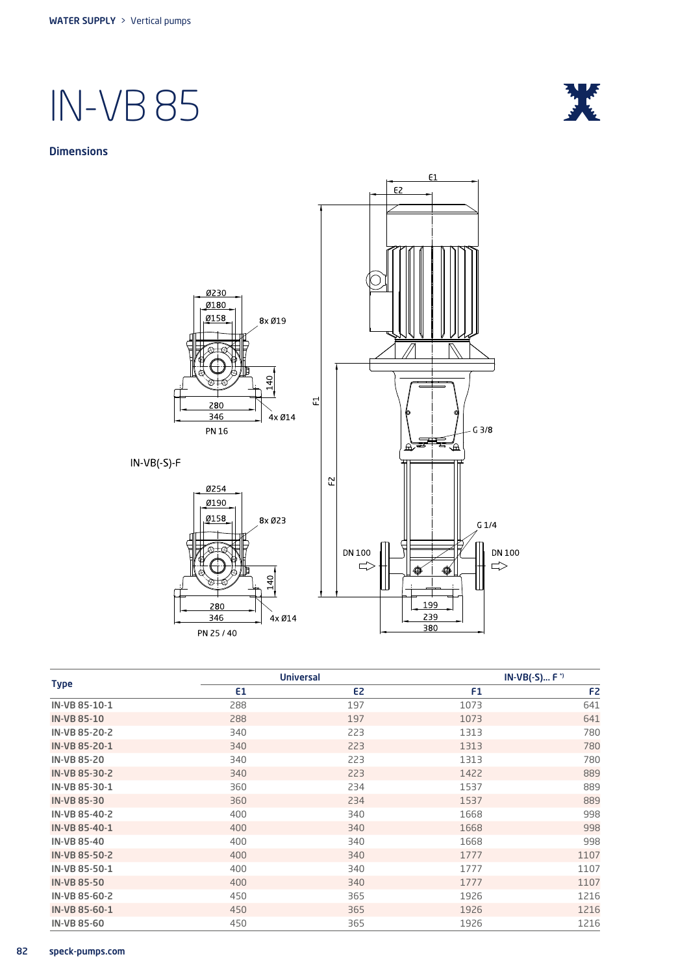

#### **Dimensions**



Type Universal IN-VB(-S)... F \*)  $E1$  E2 F1 F2 F2 **IN-VB 85-10-1** 288 288 197 1073 1073 541  $IN-VB$  85-10 288 289 197 1073 1073 541 IN-VB 85-20-2 340 223 1313 780 IN-VB 85-20-1 340 223 1313 780 IN-VB 85-20 340 223 1313 780 IN-VB 85-30-2 340 223 1422 889 IN-VB 85-30-1 360 360 234 1537 889 IN-VB 85-30 360 234 1537 889 IN-VB 85-40-2 400 340 1668 998 IN-VB 85-40-1 400 340 1668 998 **IN-VB 85-40** 398 398 340 340 35 340 3568 398 IN-VB 85-50-2 400 400 340 340 1777 1107 IN-VB 85-50-1 400 400 340 340 1777 1107  $IN-VB 85-50$  and  $400$   $340$   $1777$   $1107$ **IN-VB 85-60-2** 216 IN-VB 85-60-1 216 **IN-VB 85-60** 21216